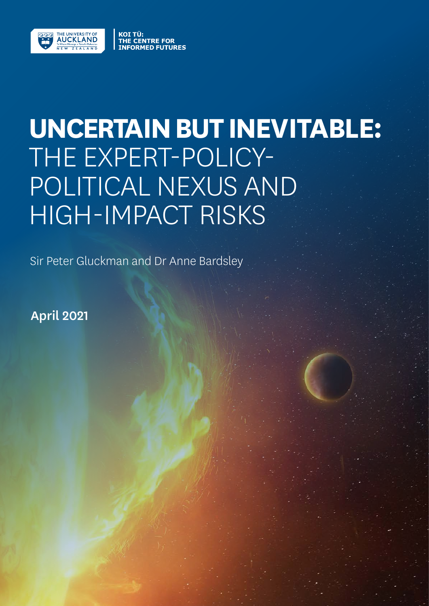

# **UNCERTAIN BUT INEVITABLE:** THE EXPERT-POLICY-POLITICAL NEXUS AND HIGH-IMPACT RISKS

Sir Peter Gluckman and Dr Anne Bardsley

**ORMED FUTURES** 

April 2021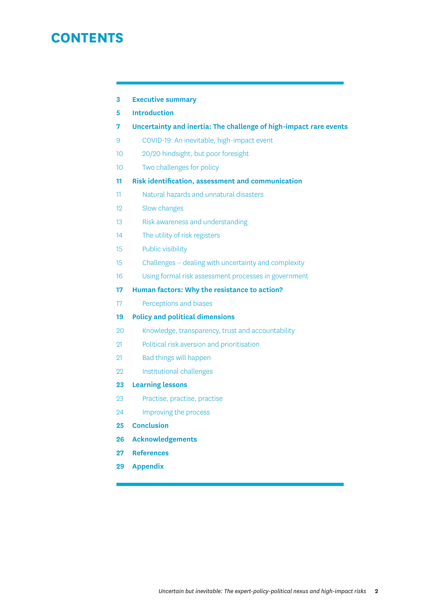# **CONTENTS**

| -3 | <b>Executive summary</b> |  |
|----|--------------------------|--|
|----|--------------------------|--|

- **5 [Introduction](#page-4-0)**
- **7 [Uncertainty and inertia: The challenge of high-impact rare events](#page-6-0)**
- [9 COVID-19: An inevitable, high-impact event](#page-8-0)
- [10 20/20 hindsight, but poor foresight](#page-9-0)
- [10 Two challenges for policy](#page-9-0)
- **11 [Risk identification, assessment and communication](#page-10-0)**
- [11 Natural hazards and unnatural disasters](#page-10-0)
- [12 Slow changes](#page-11-0)
- [13 Risk awareness and understanding](#page-12-0)
- [14 The utility of risk registers](#page-13-0)
- [15 Public visibility](#page-14-0)
- [15 Challenges dealing with uncertainty and complexity](#page-14-0)
- [16 Using formal risk assessment processes in government](#page-15-0)
- **17 [Human factors: Why the resistance to action?](#page-16-0)**
- [17 Perceptions and biases](#page-16-0)
- **19 [Policy and political dimensions](#page-18-0)**
- [20 Knowledge, transparency, trust and accountability](#page-19-0)
- [21 Political risk aversion and prioritisation](#page-20-0)
- [21 Bad things will happen](#page-20-0)
- [22 Institutional challenges](#page-21-0)
- **23 [Learning lessons](#page-22-0)**
- [23 Practise, practise, practise](#page-22-0)
- [24 Improving the process](#page-23-0)
- **25 [Conclusion](#page-24-0)**
- **26 [Acknowledgements](#page-25-0)**
- **27 [References](#page-26-0)**
- **29 [Appendix](#page-28-0)**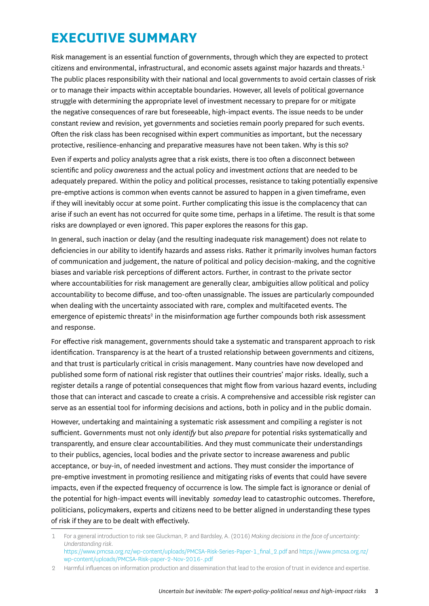# <span id="page-2-0"></span>**EXECUTIVE SUMMARY**

Risk management is an essential function of governments, through which they are expected to protect citizens and environmental, infrastructural, and economic assets against major hazards and threats.<sup>1</sup> The public places responsibility with their national and local governments to avoid certain classes of risk or to manage their impacts within acceptable boundaries. However, all levels of political governance struggle with determining the appropriate level of investment necessary to prepare for or mitigate the negative consequences of rare but foreseeable, high-impact events. The issue needs to be under constant review and revision, yet governments and societies remain poorly prepared for such events. Often the risk class has been recognised within expert communities as important, but the necessary protective, resilience-enhancing and preparative measures have not been taken. Why is this so?

Even if experts and policy analysts agree that a risk exists, there is too often a disconnect between scientific and policy *awareness* and the actual policy and investment *actions* that are needed to be adequately prepared. Within the policy and political processes, resistance to taking potentially expensive pre-emptive actions is common when events cannot be assured to happen in a given timeframe, even if they will inevitably occur at some point. Further complicating this issue is the complacency that can arise if such an event has not occurred for quite some time, perhaps in a lifetime. The result is that some risks are downplayed or even ignored. This paper explores the reasons for this gap.

In general, such inaction or delay (and the resulting inadequate risk management) does not relate to deficiencies in our ability to identify hazards and assess risks. Rather it primarily involves human factors of communication and judgement, the nature of political and policy decision-making, and the cognitive biases and variable risk perceptions of different actors. Further, in contrast to the private sector where accountabilities for risk management are generally clear, ambiguities allow political and policy accountability to become diffuse, and too-often unassignable. The issues are particularly compounded when dealing with the uncertainty associated with rare, complex and multifaceted events. The emergence of epistemic threats<sup>2</sup> in the misinformation age further compounds both risk assessment and response.

For effective risk management, governments should take a systematic and transparent approach to risk identification. Transparency is at the heart of a trusted relationship between governments and citizens, and that trust is particularly critical in crisis management. Many countries have now developed and published some form of national risk register that outlines their countries' major risks. Ideally, such a register details a range of potential consequences that might flow from various hazard events, including those that can interact and cascade to create a crisis. A comprehensive and accessible risk register can serve as an essential tool for informing decisions and actions, both in policy and in the public domain.

However, undertaking and maintaining a systematic risk assessment and compiling a register is not sufficient. Governments must not only *identify* but also *prepare* for potential risks systematically and transparently, and ensure clear accountabilities. And they must communicate their understandings to their publics, agencies, local bodies and the private sector to increase awareness and public acceptance, or buy-in, of needed investment and actions. They must consider the importance of pre-emptive investment in promoting resilience and mitigating risks of events that could have severe impacts, even if the expected frequency of occurrence is low. The simple fact is ignorance or denial of the potential for high-impact events will inevitably *someday* lead to catastrophic outcomes. Therefore, politicians, policymakers, experts and citizens need to be better aligned in understanding these types of risk if they are to be dealt with effectively.

<sup>1</sup> For a general introduction to risk see Gluckman, P. and Bardsley, A. (2016) *Making decisions in the face of uncertainty: Understanding risk*.

https://www.pmcsa.org.nz/wp-content/uploads/PMCSA-Risk-Series-Paper-1\_final\_2.pdf and https://www.pmcsa.org.nz/ wp-content/uploads/PMCSA-Risk-paper-2-Nov-2016-.pdf

<sup>2</sup> Harmful influences on information production and dissemination that lead to the erosion of trust in evidence and expertise.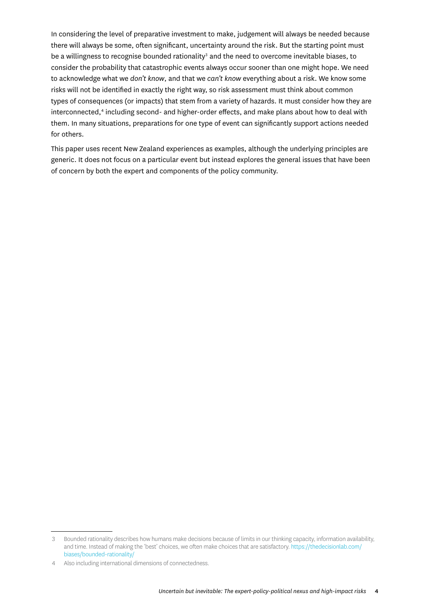In considering the level of preparative investment to make, judgement will always be needed because there will always be some, often significant, uncertainty around the risk. But the starting point must be a willingness to recognise bounded rationality<sup>3</sup> and the need to overcome inevitable biases, to consider the probability that catastrophic events always occur sooner than one might hope. We need to acknowledge what we *don't know*, and that we *can't know* everything about a risk. We know some risks will not be identified in exactly the right way, so risk assessment must think about common types of consequences (or impacts) that stem from a variety of hazards. It must consider how they are interconnected,<sup>4</sup> including second- and higher-order effects, and make plans about how to deal with them. In many situations, preparations for one type of event can significantly support actions needed for others.

This paper uses recent New Zealand experiences as examples, although the underlying principles are generic. It does not focus on a particular event but instead explores the general issues that have been of concern by both the expert and components of the policy community.

<sup>3</sup> Bounded rationality describes how humans make decisions because of limits in our thinking capacity, information availability, and time. Instead of making the 'best' choices, we often make choices that are satisfactory. [https://thedecisionlab.com/](https://thedecisionlab.com/biases/bounded-rationality/) [biases/bounded-rationality/](https://thedecisionlab.com/biases/bounded-rationality/)

<sup>4</sup> Also including international dimensions of connectedness.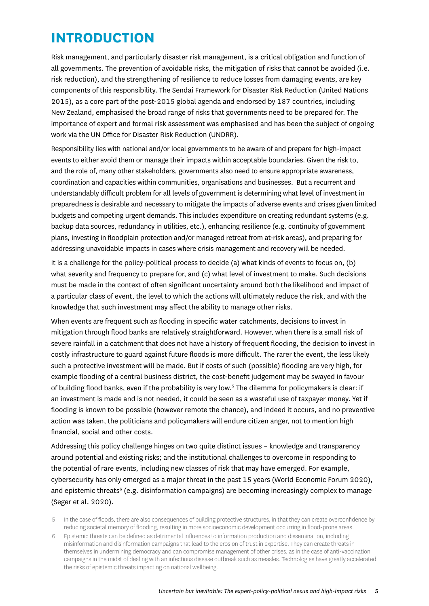# <span id="page-4-0"></span>**INTRODUCTION**

Risk management, and particularly disaster risk management, is a critical obligation and function of all governments. The prevention of avoidable risks, the mitigation of risks that cannot be avoided (i.e. risk reduction), and the strengthening of resilience to reduce losses from damaging events, are key components of this responsibility. The Sendai Framework for Disaster Risk Reduction (United Nations 2015), as a core part of the post-2015 global agenda and endorsed by 187 countries, including New Zealand, emphasised the broad range of risks that governments need to be prepared for. The importance of expert and formal risk assessment was emphasised and has been the subject of ongoing work via the UN Office for Disaster Risk Reduction (UNDRR).

Responsibility lies with national and/or local governments to be aware of and prepare for high-impact events to either avoid them or manage their impacts within acceptable boundaries. Given the risk to, and the role of, many other stakeholders, governments also need to ensure appropriate awareness, coordination and capacities within communities, organisations and businesses. But a recurrent and understandably difficult problem for all levels of government is determining what level of investment in preparedness is desirable and necessary to mitigate the impacts of adverse events and crises given limited budgets and competing urgent demands. This includes expenditure on creating redundant systems (e.g. backup data sources, redundancy in utilities, etc.), enhancing resilience (e.g. continuity of government plans, investing in floodplain protection and/or managed retreat from at-risk areas), and preparing for addressing unavoidable impacts in cases where crisis management and recovery will be needed.

It is a challenge for the policy-political process to decide (a) what kinds of events to focus on, (b) what severity and frequency to prepare for, and (c) what level of investment to make. Such decisions must be made in the context of often significant uncertainty around both the likelihood and impact of a particular class of event, the level to which the actions will ultimately reduce the risk, and with the knowledge that such investment may affect the ability to manage other risks.

When events are frequent such as flooding in specific water catchments, decisions to invest in mitigation through flood banks are relatively straightforward. However, when there is a small risk of severe rainfall in a catchment that does not have a history of frequent flooding, the decision to invest in costly infrastructure to guard against future floods is more difficult. The rarer the event, the less likely such a protective investment will be made. But if costs of such (possible) flooding are very high, for example flooding of a central business district, the cost-benefit judgement may be swayed in favour of building flood banks, even if the probability is very low.<sup>5</sup> The dilemma for policymakers is clear: if an investment is made and is not needed, it could be seen as a wasteful use of taxpayer money. Yet if flooding is known to be possible (however remote the chance), and indeed it occurs, and no preventive action was taken, the politicians and policymakers will endure citizen anger, not to mention high financial, social and other costs.

Addressing this policy challenge hinges on two quite distinct issues – knowledge and transparency around potential and existing risks; and the institutional challenges to overcome in responding to the potential of rare events, including new classes of risk that may have emerged. For example, cybersecurity has only emerged as a major threat in the past 15 years (World Economic Forum 2020), and epistemic threats<sup>6</sup> (e.g. disinformation campaigns) are becoming increasingly complex to manage (Seger et al. 2020).

<sup>5</sup> In the case of floods, there are also consequences of building protective structures, in that they can create overconfidence by reducing societal memory of flooding, resulting in more socioeconomic development occurring in flood-prone areas.

<sup>6</sup> Epistemic threats can be defined as detrimental influences to information production and dissemination, including misinformation and disinformation campaigns that lead to the erosion of trust in expertise. They can create threats in themselves in undermining democracy and can compromise management of other crises, as in the case of anti-vaccination campaigns in the midst of dealing with an infectious disease outbreak such as measles. Technologies have greatly accelerated the risks of epistemic threats impacting on national wellbeing.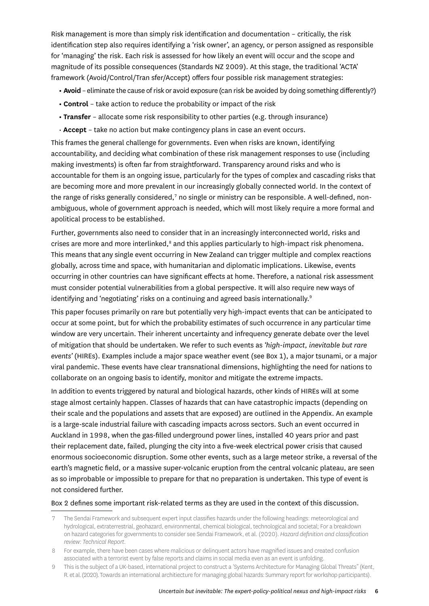Risk management is more than simply risk identification and documentation – critically, the risk identification step also requires identifying a 'risk owner', an agency, or person assigned as responsible for 'managing' the risk. Each risk is assessed for how likely an event will occur and the scope and magnitude of its possible consequences (Standards NZ 2009). At this stage, the traditional 'ACTA' framework (Avoid/Control/Tran sfer/Accept) offers four possible risk management strategies:

- **Avoid** eliminate the cause of risk or avoid exposure (can risk be avoided by doing something differently?)
- **Control** take action to reduce the probability or impact of the risk
- **Transfer** allocate some risk responsibility to other parties (e.g. through insurance)
- • **Accept** take no action but make contingency plans in case an event occurs.

This frames the general challenge for governments. Even when risks are known, identifying accountability, and deciding what combination of these risk management responses to use (including making investments) is often far from straightforward. Transparency around risks and who is accountable for them is an ongoing issue, particularly for the types of complex and cascading risks that are becoming more and more prevalent in our increasingly globally connected world. In the context of the range of risks generally considered,<sup>7</sup> no single or ministry can be responsible. A well-defined, nonambiguous, whole of government approach is needed, which will most likely require a more formal and apolitical process to be established.

Further, governments also need to consider that in an increasingly interconnected world, risks and crises are more and more interlinked,<sup>8</sup> and this applies particularly to high-impact risk phenomena. This means that any single event occurring in New Zealand can trigger multiple and complex reactions globally, across time and space, with humanitarian and diplomatic implications. Likewise, events occurring in other countries can have significant effects at home. Therefore, a national risk assessment must consider potential vulnerabilities from a global perspective. It will also require new ways of identifying and 'negotiating' risks on a continuing and agreed basis internationally.<sup>9</sup>

This paper focuses primarily on rare but potentially very high-impact events that can be anticipated to occur at some point, but for which the probability estimates of such occurrence in any particular time window are very uncertain. Their inherent uncertainty and infrequency generate debate over the level of mitigation that should be undertaken. We refer to such events as *'high-impact, inevitable but rare events'* (HIREs). Examples include a major space weather event (see Box 1), a major tsunami, or a major viral pandemic. These events have clear transnational dimensions, highlighting the need for nations to collaborate on an ongoing basis to identify, monitor and mitigate the extreme impacts.

In addition to events triggered by natural and biological hazards, other kinds of HIREs will at some stage almost certainly happen. Classes of hazards that can have catastrophic impacts (depending on their scale and the populations and assets that are exposed) are outlined in the Appendix. An example is a large-scale industrial failure with cascading impacts across sectors. Such an event occurred in Auckland in 1998, when the gas-filled underground power lines, installed 40 years prior and past their replacement date, failed, plunging the city into a five-week electrical power crisis that caused enormous socioeconomic disruption. Some other events, such as a large meteor strike, a reversal of the earth's magnetic field, or a massive super-volcanic eruption from the central volcanic plateau, are seen as so improbable or impossible to prepare for that no preparation is undertaken. This type of event is not considered further.

#### Box 2 defines some important risk-related terms as they are used in the context of this discussion.

<sup>7</sup> The Sendai Framework and subsequent expert input classifies hazards under the following headings: meteorological and hydrological, extraterrestrial, geohazard, environmental, chemical biological, technological and societal; For a breakdown on hazard categories for governments to consider see Sendai Framework, et al. (2020). *Hazard definition and classification review: Technical Report*.

<sup>8</sup> For example, there have been cases where malicious or delinquent actors have magnified issues and created confusion associated with a terrorist event by false reports and claims in social media even as an event is unfolding.

<sup>9</sup> This is the subject of a UK-based, international project to construct a 'Systems Architecture for Managing Global Threats" (Kent, R. et al. (2020). Towards an international architiecture for managing global hazards: Summary report for workshop participants).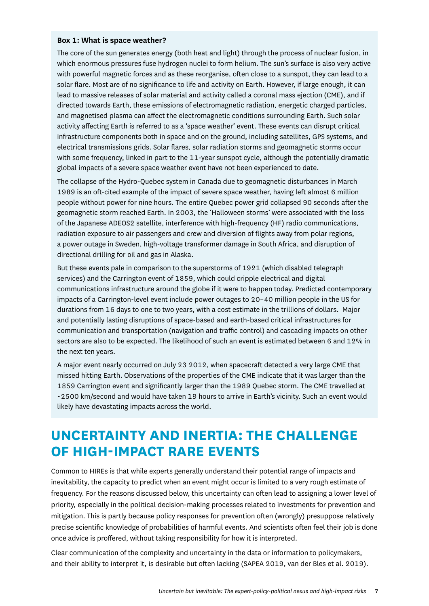#### <span id="page-6-0"></span>**Box 1: What is space weather?**

The core of the sun generates energy (both heat and light) through the process of nuclear fusion, in which enormous pressures fuse hydrogen nuclei to form helium. The sun's surface is also very active with powerful magnetic forces and as these reorganise, often close to a sunspot, they can lead to a solar flare. Most are of no significance to life and activity on Earth. However, if large enough, it can lead to massive releases of solar material and activity called a coronal mass ejection (CME), and if directed towards Earth, these emissions of electromagnetic radiation, energetic charged particles, and magnetised plasma can affect the electromagnetic conditions surrounding Earth. Such solar activity affecting Earth is referred to as a 'space weather' event. These events can disrupt critical infrastructure components both in space and on the ground, including satellites, GPS systems, and electrical transmissions grids. Solar flares, solar radiation storms and geomagnetic storms occur with some frequency, linked in part to the 11-year sunspot cycle, although the potentially dramatic global impacts of a severe space weather event have not been experienced to date.

The collapse of the Hydro-Quebec system in Canada due to geomagnetic disturbances in March 1989 is an oft-cited example of the impact of severe space weather, having left almost 6 million people without power for nine hours. The entire Quebec power grid collapsed 90 seconds after the geomagnetic storm reached Earth. In 2003, the 'Halloween storms' were associated with the loss of the Japanese ADEOS2 satellite, interference with high-frequency (HF) radio communications, radiation exposure to air passengers and crew and diversion of flights away from polar regions, a power outage in Sweden, high-voltage transformer damage in South Africa, and disruption of directional drilling for oil and gas in Alaska.

But these events pale in comparison to the superstorms of 1921 (which disabled telegraph services) and the Carrington event of 1859, which could cripple electrical and digital communications infrastructure around the globe if it were to happen today. Predicted contemporary impacts of a Carrington-level event include power outages to 20–40 million people in the US for durations from 16 days to one to two years, with a cost estimate in the trillions of dollars. Major and potentially lasting disruptions of space-based and earth-based critical infrastructures for communication and transportation (navigation and traffic control) and cascading impacts on other sectors are also to be expected. The likelihood of such an event is estimated between 6 and 12% in the next ten years.

A major event nearly occurred on July 23 2012, when spacecraft detected a very large CME that missed hitting Earth. Observations of the properties of the CME indicate that it was larger than the 1859 Carrington event and significantly larger than the 1989 Quebec storm. The CME travelled at ~2500 km/second and would have taken 19 hours to arrive in Earth's vicinity. Such an event would likely have devastating impacts across the world.

# **UNCERTAINTY AND INERTIA: THE CHALLENGE OF HIGH-IMPACT RARE EVENTS**

Common to HIREs is that while experts generally understand their potential range of impacts and inevitability, the capacity to predict when an event might occur is limited to a very rough estimate of frequency. For the reasons discussed below, this uncertainty can often lead to assigning a lower level of priority, especially in the political decision-making processes related to investments for prevention and mitigation. This is partly because policy responses for prevention often (wrongly) presuppose relatively precise scientific knowledge of probabilities of harmful events. And scientists often feel their job is done once advice is proffered, without taking responsibility for how it is interpreted.

Clear communication of the complexity and uncertainty in the data or information to policymakers, and their ability to interpret it, is desirable but often lacking (SAPEA 2019, van der Bles et al. 2019).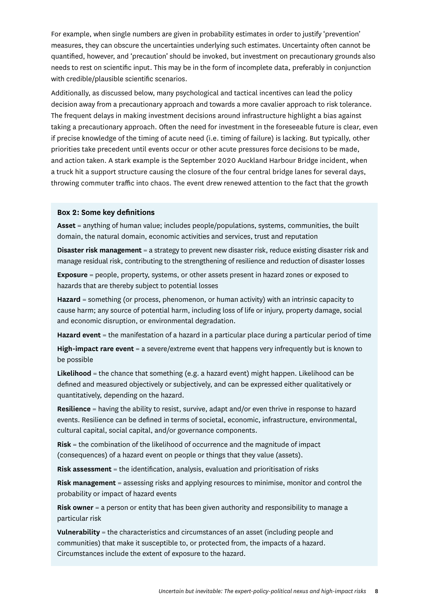For example, when single numbers are given in probability estimates in order to justify 'prevention' measures, they can obscure the uncertainties underlying such estimates. Uncertainty often cannot be quantified, however, and 'precaution' should be invoked, but investment on precautionary grounds also needs to rest on scientific input. This may be in the form of incomplete data, preferably in conjunction with credible/plausible scientific scenarios.

Additionally, as discussed below, many psychological and tactical incentives can lead the policy decision away from a precautionary approach and towards a more cavalier approach to risk tolerance. The frequent delays in making investment decisions around infrastructure highlight a bias against taking a precautionary approach. Often the need for investment in the foreseeable future is clear, even if precise knowledge of the timing of acute need (i.e. timing of failure) is lacking. But typically, other priorities take precedent until events occur or other acute pressures force decisions to be made, and action taken. A stark example is the September 2020 Auckland Harbour Bridge incident, when a truck hit a support structure causing the closure of the four central bridge lanes for several days, throwing commuter traffic into chaos. The event drew renewed attention to the fact that the growth

#### **Box 2: Some key definitions**

**Asset** = anything of human value; includes people/populations, systems, communities, the built domain, the natural domain, economic activities and services, trust and reputation

**Disaster risk management** = a strategy to prevent new disaster risk, reduce existing disaster risk and manage residual risk, contributing to the strengthening of resilience and reduction of disaster losses

**Exposure** = people, property, systems, or other assets present in hazard zones or exposed to hazards that are thereby subject to potential losses

**Hazard** = something (or process, phenomenon, or human activity) with an intrinsic capacity to cause harm; any source of potential harm, including loss of life or injury, property damage, social and economic disruption, or environmental degradation.

**Hazard event** = the manifestation of a hazard in a particular place during a particular period of time

**High-impact rare event** = a severe/extreme event that happens very infrequently but is known to be possible

**Likelihood** = the chance that something (e.g. a hazard event) might happen. Likelihood can be defined and measured objectively or subjectively, and can be expressed either qualitatively or quantitatively, depending on the hazard.

**Resilience** = having the ability to resist, survive, adapt and/or even thrive in response to hazard events. Resilience can be defined in terms of societal, economic, infrastructure, environmental, cultural capital, social capital, and/or governance components.

**Risk** = the combination of the likelihood of occurrence and the magnitude of impact (consequences) of a hazard event on people or things that they value (assets).

**Risk assessment** = the identification, analysis, evaluation and prioritisation of risks

**Risk management** = assessing risks and applying resources to minimise, monitor and control the probability or impact of hazard events

**Risk owner** = a person or entity that has been given authority and responsibility to manage a particular risk

**Vulnerability** = the characteristics and circumstances of an asset (including people and communities) that make it susceptible to, or protected from, the impacts of a hazard. Circumstances include the extent of exposure to the hazard.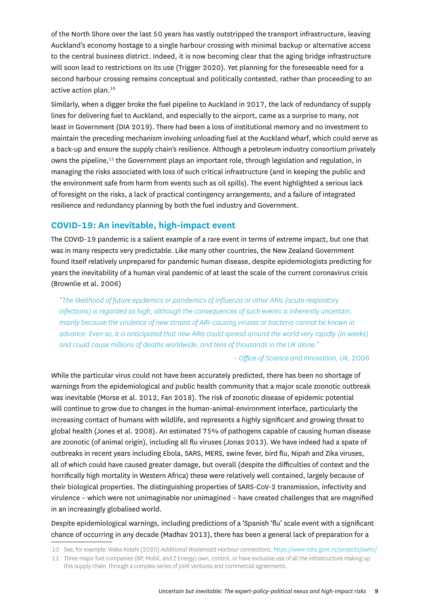<span id="page-8-0"></span>of the North Shore over the last 50 years has vastly outstripped the transport infrastructure, leaving Auckland's economy hostage to a single harbour crossing with minimal backup or alternative access to the central business district. Indeed, it is now becoming clear that the aging bridge infrastructure will soon lead to restrictions on its use (Trigger 2020). Yet planning for the foreseeable need for a second harbour crossing remains conceptual and politically contested, rather than proceeding to an active action plan.<sup>10</sup>

Similarly, when a digger broke the fuel pipeline to Auckland in 2017, the lack of redundancy of supply lines for delivering fuel to Auckland, and especially to the airport, came as a surprise to many, not least in Government (DIA 2019). There had been a loss of institutional memory and no investment to maintain the preceding mechanism involving unloading fuel at the Auckland wharf, which could serve as a back-up and ensure the supply chain's resilience. Although a petroleum industry consortium privately owns the pipeline, $11$  the Government plays an important role, through legislation and regulation, in managing the risks associated with loss of such critical infrastructure (and in keeping the public and the environment safe from harm from events such as oil spills). The event highlighted a serious lack of foresight on the risks, a lack of practical contingency arrangements, and a failure of integrated resilience and redundancy planning by both the fuel industry and Government.

### **COVID-19: An inevitable, high-impact event**

The COVID-19 pandemic is a salient example of a rare event in terms of extreme impact, but one that was in many respects very predictable. Like many other countries, the New Zealand Government found itself relatively unprepared for pandemic human disease, despite epidemiologists predicting for years the inevitability of a human viral pandemic of at least the scale of the current coronavirus crisis (Brownlie et al. 2006)

*"The likelihood of future epidemics or pandemics of influenza or other ARIs (acute respiratory infections) is regarded as high, although the consequences of such events is inherently uncertain, mainly because the virulence of new strains of ARI-causing viruses or bacteria cannot be known in advance. Even so, it is anticipated that new ARIs could spread around the world very rapidly (in weeks) and could cause millions of deaths worldwide, and tens of thousands in the UK alone."*

#### *– Office of Science and Innovation, UK, 2006*

While the particular virus could not have been accurately predicted, there has been no shortage of warnings from the epidemiological and public health community that a major scale zoonotic outbreak was inevitable (Morse et al. 2012, Fan 2018). The risk of zoonotic disease of epidemic potential will continue to grow due to changes in the human-animal-environment interface, particularly the increasing contact of humans with wildlife, and represents a highly significant and growing threat to global health (Jones et al. 2008). An estimated 75% of pathogens capable of causing human disease are zoonotic (of animal origin), including all flu viruses (Jonas 2013). We have indeed had a spate of outbreaks in recent years including Ebola, SARS, MERS, swine fever, bird flu, Nipah and Zika viruses, all of which could have caused greater damage, but overall (despite the difficulties of context and the horrifically high mortality in Western Africa) these were relatively well contained, largely because of their biological properties. The distinguishing properties of SARS-CoV-2 transmission, infectivity and virulence – which were not unimaginable nor unimagined – have created challenges that are magnified in an increasingly globalised world.

### Despite epidemiological warnings, including predictions of a 'Spanish 'flu' scale event with a significant chance of occurring in any decade (Madhav 2013), there has been a general lack of preparation for a

<sup>10</sup> See, for example: Waka Kotahi (2020) *Additional Waitematā Harbour connections*. https://www.nzta.govt.nz/projects/awhc/

<sup>11</sup> Three major fuel companies (BP, Mobil, and Z Energy) own, control, or have exclusive use of all the infrastructure making up this supply chain, through a complex series of joint ventures and commercial agreements.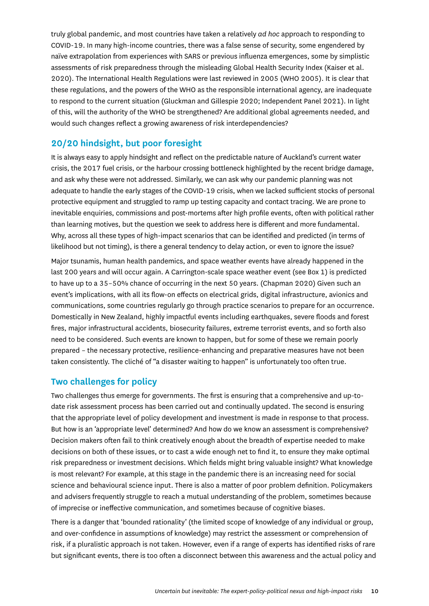<span id="page-9-0"></span>truly global pandemic, and most countries have taken a relatively *ad hoc* approach to responding to COVID-19. In many high-income countries, there was a false sense of security, some engendered by naïve extrapolation from experiences with SARS or previous influenza emergences, some by simplistic assessments of risk preparedness through the misleading Global Health Security Index (Kaiser et al. 2020). The International Health Regulations were last reviewed in 2005 (WHO 2005). It is clear that these regulations, and the powers of the WHO as the responsible international agency, are inadequate to respond to the current situation (Gluckman and Gillespie 2020; Independent Panel 2021). In light of this, will the authority of the WHO be strengthened? Are additional global agreements needed, and would such changes reflect a growing awareness of risk interdependencies?

### **20/20 hindsight, but poor foresight**

It is always easy to apply hindsight and reflect on the predictable nature of Auckland's current water crisis, the 2017 fuel crisis, or the harbour crossing bottleneck highlighted by the recent bridge damage, and ask why these were not addressed. Similarly, we can ask why our pandemic planning was not adequate to handle the early stages of the COVID-19 crisis, when we lacked sufficient stocks of personal protective equipment and struggled to ramp up testing capacity and contact tracing. We are prone to inevitable enquiries, commissions and post-mortems after high profile events, often with political rather than learning motives, but the question we seek to address here is different and more fundamental. Why, across all these types of high-impact scenarios that can be identified and predicted (in terms of likelihood but not timing), is there a general tendency to delay action, or even to ignore the issue?

Major tsunamis, human health pandemics, and space weather events have already happened in the last 200 years and will occur again. A Carrington-scale space weather event (see Box 1) is predicted to have up to a 35–50% chance of occurring in the next 50 years. (Chapman 2020) Given such an event's implications, with all its flow-on effects on electrical grids, digital infrastructure, avionics and communications, some countries regularly go through practice scenarios to prepare for an occurrence. Domestically in New Zealand, highly impactful events including earthquakes, severe floods and forest fires, major infrastructural accidents, biosecurity failures, extreme terrorist events, and so forth also need to be considered. Such events are known to happen, but for some of these we remain poorly prepared – the necessary protective, resilience-enhancing and preparative measures have not been taken consistently. The cliché of "a disaster waiting to happen" is unfortunately too often true.

### **Two challenges for policy**

Two challenges thus emerge for governments. The first is ensuring that a comprehensive and up-todate risk assessment process has been carried out and continually updated. The second is ensuring that the appropriate level of policy development and investment is made in response to that process. But how is an 'appropriate level' determined? And how do we know an assessment is comprehensive? Decision makers often fail to think creatively enough about the breadth of expertise needed to make decisions on both of these issues, or to cast a wide enough net to find it, to ensure they make optimal risk preparedness or investment decisions. Which fields might bring valuable insight? What knowledge is most relevant? For example, at this stage in the pandemic there is an increasing need for social science and behavioural science input. There is also a matter of poor problem definition. Policymakers and advisers frequently struggle to reach a mutual understanding of the problem, sometimes because of imprecise or ineffective communication, and sometimes because of cognitive biases.

There is a danger that 'bounded rationality' (the limited scope of knowledge of any individual or group, and over-confidence in assumptions of knowledge) may restrict the assessment or comprehension of risk, if a pluralistic approach is not taken. However, even if a range of experts has identified risks of rare but significant events, there is too often a disconnect between this awareness and the actual policy and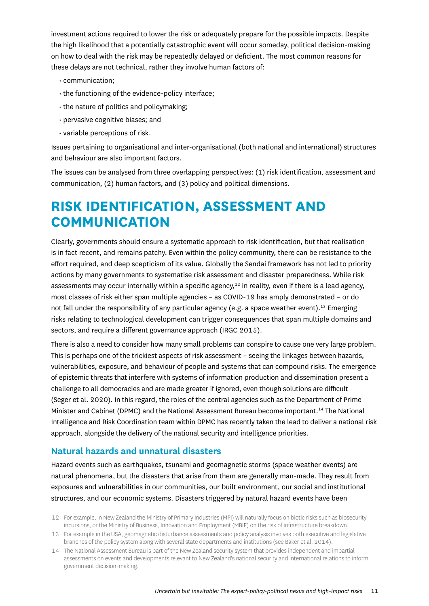<span id="page-10-0"></span>investment actions required to lower the risk or adequately prepare for the possible impacts. Despite the high likelihood that a potentially catastrophic event will occur someday, political decision-making on how to deal with the risk may be repeatedly delayed or deficient. The most common reasons for these delays are not technical, rather they involve human factors of:

- communication;
- the functioning of the evidence-policy interface;
- the nature of politics and policymaking;
- pervasive cognitive biases; and
- variable perceptions of risk.

Issues pertaining to organisational and inter-organisational (both national and international) structures and behaviour are also important factors.

The issues can be analysed from three overlapping perspectives: (1) risk identification, assessment and communication, (2) human factors, and (3) policy and political dimensions.

# **RISK IDENTIFICATION, ASSESSMENT AND COMMUNICATION**

Clearly, governments should ensure a systematic approach to risk identification, but that realisation is in fact recent, and remains patchy. Even within the policy community, there can be resistance to the effort required, and deep scepticism of its value. Globally the Sendai framework has not led to priority actions by many governments to systematise risk assessment and disaster preparedness. While risk assessments may occur internally within a specific agency,<sup>12</sup> in reality, even if there is a lead agency, most classes of risk either span multiple agencies – as COVID-19 has amply demonstrated – or do not fall under the responsibility of any particular agency (e.g. a space weather event).<sup>13</sup> Emerging risks relating to technological development can trigger consequences that span multiple domains and sectors, and require a different governance approach (IRGC 2015).

There is also a need to consider how many small problems can conspire to cause one very large problem. This is perhaps one of the trickiest aspects of risk assessment – seeing the linkages between hazards, vulnerabilities, exposure, and behaviour of people and systems that can compound risks. The emergence of epistemic threats that interfere with systems of information production and dissemination present a challenge to all democracies and are made greater if ignored, even though solutions are difficult (Seger et al. 2020). In this regard, the roles of the central agencies such as the Department of Prime Minister and Cabinet (DPMC) and the National Assessment Bureau become important.14 The National Intelligence and Risk Coordination team within DPMC has recently taken the lead to deliver a national risk approach, alongside the delivery of the national security and intelligence priorities.

#### **Natural hazards and unnatural disasters**

Hazard events such as earthquakes, tsunami and geomagnetic storms (space weather events) are natural phenomena, but the disasters that arise from them are generally man-made. They result from exposures and vulnerabilities in our communities, our built environment, our social and institutional structures, and our economic systems. Disasters triggered by natural hazard events have been

<sup>12</sup> For example, in New Zealand the Ministry of Primary Industries (MPI) will naturally focus on biotic risks such as biosecurity incursions, or the Ministry of Business, Innovation and Employment (MBIE) on the risk of infrastructure breakdown.

<sup>13</sup> For example in the USA, geomagnetic disturbance assessments and policy analysis involves both executive and legislative branches of the policy system along with several state departments and institutions (see Baker et al. 2014).

<sup>14</sup> The National Assessment Bureau is part of the New Zealand security system that provides independent and impartial assessments on events and developments relevant to New Zealand's national security and international relations to inform government decision-making.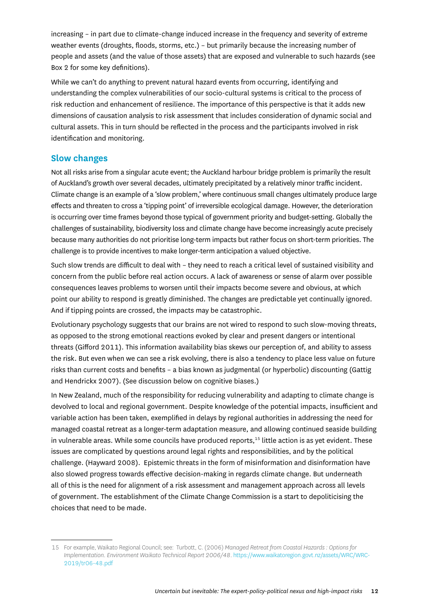<span id="page-11-0"></span>increasing – in part due to climate-change induced increase in the frequency and severity of extreme weather events (droughts, floods, storms, etc.) – but primarily because the increasing number of people and assets (and the value of those assets) that are exposed and vulnerable to such hazards (see Box 2 for some key definitions).

While we can't do anything to prevent natural hazard events from occurring, identifying and understanding the complex vulnerabilities of our socio-cultural systems is critical to the process of risk reduction and enhancement of resilience. The importance of this perspective is that it adds new dimensions of causation analysis to risk assessment that includes consideration of dynamic social and cultural assets. This in turn should be reflected in the process and the participants involved in risk identification and monitoring.

#### **Slow changes**

Not all risks arise from a singular acute event; the Auckland harbour bridge problem is primarily the result of Auckland's growth over several decades, ultimately precipitated by a relatively minor traffic incident. Climate change is an example of a 'slow problem,' where continuous small changes ultimately produce large effects and threaten to cross a 'tipping point' of irreversible ecological damage. However, the deterioration is occurring over time frames beyond those typical of government priority and budget-setting. Globally the challenges of sustainability, biodiversity loss and climate change have become increasingly acute precisely because many authorities do not prioritise long-term impacts but rather focus on short-term priorities. The challenge is to provide incentives to make longer-term anticipation a valued objective.

Such slow trends are difficult to deal with – they need to reach a critical level of sustained visibility and concern from the public before real action occurs. A lack of awareness or sense of alarm over possible consequences leaves problems to worsen until their impacts become severe and obvious, at which point our ability to respond is greatly diminished. The changes are predictable yet continually ignored. And if tipping points are crossed, the impacts may be catastrophic.

Evolutionary psychology suggests that our brains are not wired to respond to such slow-moving threats, as opposed to the strong emotional reactions evoked by clear and present dangers or intentional threats (Gifford 2011). This information availability bias skews our perception of, and ability to assess the risk. But even when we can see a risk evolving, there is also a tendency to place less value on future risks than current costs and benefits – a bias known as judgmental (or hyperbolic) discounting (Gattig and Hendrickx 2007). (See discussion below on cognitive biases.)

In New Zealand, much of the responsibility for reducing vulnerability and adapting to climate change is devolved to local and regional government. Despite knowledge of the potential impacts, insufficient and variable action has been taken, exemplified in delays by regional authorities in addressing the need for managed coastal retreat as a longer-term adaptation measure, and allowing continued seaside building in vulnerable areas. While some councils have produced reports, $15$  little action is as yet evident. These issues are complicated by questions around legal rights and responsibilities, and by the political challenge. (Hayward 2008). Epistemic threats in the form of misinformation and disinformation have also slowed progress towards effective decision-making in regards climate change. But underneath all of this is the need for alignment of a risk assessment and management approach across all levels of government. The establishment of the Climate Change Commission is a start to depoliticising the choices that need to be made.

<sup>15</sup> For example, Waikato Regional Council; see: Turbott, C. (2006) *Managed Retreat from Coastal Hazards : Options for Implementation. Environment Waikato Technical Report 2006/48*. [https://www.waikatoregion.govt.nz/assets/WRC/WRC-](https://www.waikatoregion.govt.nz/assets/WRC/WRC-2019/tr06-48.pdf)[2019/tr06-48.pdf](https://www.waikatoregion.govt.nz/assets/WRC/WRC-2019/tr06-48.pdf)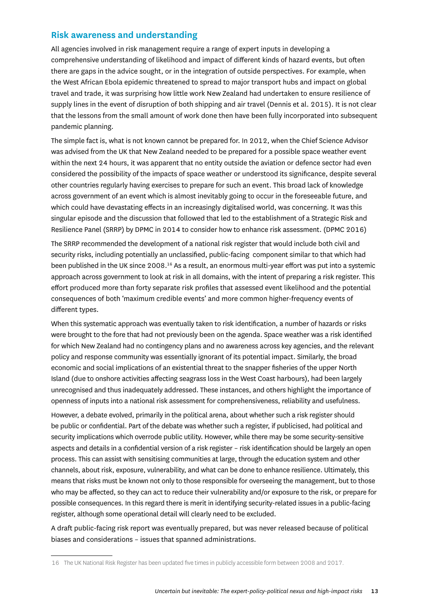### <span id="page-12-0"></span>**Risk awareness and understanding**

All agencies involved in risk management require a range of expert inputs in developing a comprehensive understanding of likelihood and impact of different kinds of hazard events, but often there are gaps in the advice sought, or in the integration of outside perspectives. For example, when the West African Ebola epidemic threatened to spread to major transport hubs and impact on global travel and trade, it was surprising how little work New Zealand had undertaken to ensure resilience of supply lines in the event of disruption of both shipping and air travel (Dennis et al. 2015). It is not clear that the lessons from the small amount of work done then have been fully incorporated into subsequent pandemic planning.

The simple fact is, what is not known cannot be prepared for. In 2012, when the Chief Science Advisor was advised from the UK that New Zealand needed to be prepared for a possible space weather event within the next 24 hours, it was apparent that no entity outside the aviation or defence sector had even considered the possibility of the impacts of space weather or understood its significance, despite several other countries regularly having exercises to prepare for such an event. This broad lack of knowledge across government of an event which is almost inevitably going to occur in the foreseeable future, and which could have devastating effects in an increasingly digitalised world, was concerning. It was this singular episode and the discussion that followed that led to the establishment of a Strategic Risk and Resilience Panel (SRRP) by DPMC in 2014 to consider how to enhance risk assessment. (DPMC 2016)

The SRRP recommended the development of a national risk register that would include both civil and security risks, including potentially an unclassified, public-facing component similar to that which had been published in the UK since 2008.16 As a result, an enormous multi-year effort was put into a systemic approach across government to look at risk in all domains, with the intent of preparing a risk register. This effort produced more than forty separate risk profiles that assessed event likelihood and the potential consequences of both 'maximum credible events' and more common higher-frequency events of different types.

When this systematic approach was eventually taken to risk identification, a number of hazards or risks were brought to the fore that had not previously been on the agenda. Space weather was a risk identified for which New Zealand had no contingency plans and no awareness across key agencies, and the relevant policy and response community was essentially ignorant of its potential impact. Similarly, the broad economic and social implications of an existential threat to the snapper fisheries of the upper North Island (due to onshore activities affecting seagrass loss in the West Coast harbours), had been largely unrecognised and thus inadequately addressed. These instances, and others highlight the importance of openness of inputs into a national risk assessment for comprehensiveness, reliability and usefulness.

However, a debate evolved, primarily in the political arena, about whether such a risk register should be public or confidential. Part of the debate was whether such a register, if publicised, had political and security implications which overrode public utility. However, while there may be some security-sensitive aspects and details in a confidential version of a risk register – risk identification should be largely an open process. This can assist with sensitising communities at large, through the education system and other channels, about risk, exposure, vulnerability, and what can be done to enhance resilience. Ultimately, this means that risks must be known not only to those responsible for overseeing the management, but to those who may be affected, so they can act to reduce their vulnerability and/or exposure to the risk, or prepare for possible consequences. In this regard there is merit in identifying security-related issues in a public-facing register, although some operational detail will clearly need to be excluded.

A draft public-facing risk report was eventually prepared, but was never released because of political biases and considerations – issues that spanned administrations.

<sup>16</sup> The UK National Risk Register has been updated five times in publicly accessible form between 2008 and 2017.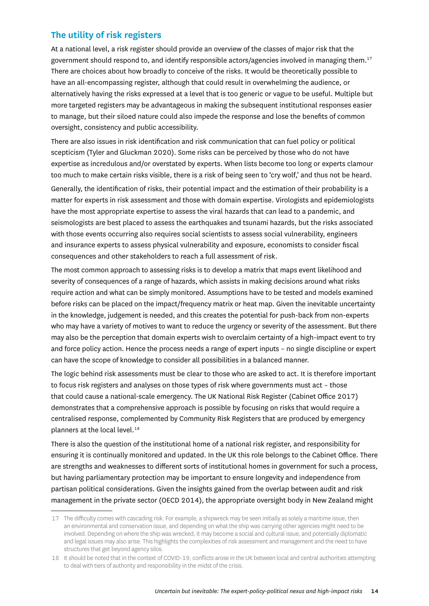### <span id="page-13-0"></span>**The utility of risk registers**

At a national level, a risk register should provide an overview of the classes of major risk that the government should respond to, and identify responsible actors/agencies involved in managing them.<sup>17</sup> There are choices about how broadly to conceive of the risks. It would be theoretically possible to have an all-encompassing register, although that could result in overwhelming the audience, or alternatively having the risks expressed at a level that is too generic or vague to be useful. Multiple but more targeted registers may be advantageous in making the subsequent institutional responses easier to manage, but their siloed nature could also impede the response and lose the benefits of common oversight, consistency and public accessibility.

There are also issues in risk identification and risk communication that can fuel policy or political scepticism (Tyler and Gluckman 2020). Some risks can be perceived by those who do not have expertise as incredulous and/or overstated by experts. When lists become too long or experts clamour too much to make certain risks visible, there is a risk of being seen to 'cry wolf,' and thus not be heard.

Generally, the identification of risks, their potential impact and the estimation of their probability is a matter for experts in risk assessment and those with domain expertise. Virologists and epidemiologists have the most appropriate expertise to assess the viral hazards that can lead to a pandemic, and seismologists are best placed to assess the earthquakes and tsunami hazards, but the risks associated with those events occurring also requires social scientists to assess social vulnerability, engineers and insurance experts to assess physical vulnerability and exposure, economists to consider fiscal consequences and other stakeholders to reach a full assessment of risk.

The most common approach to assessing risks is to develop a matrix that maps event likelihood and severity of consequences of a range of hazards, which assists in making decisions around what risks require action and what can be simply monitored. Assumptions have to be tested and models examined before risks can be placed on the impact/frequency matrix or heat map. Given the inevitable uncertainty in the knowledge, judgement is needed, and this creates the potential for push-back from non-experts who may have a variety of motives to want to reduce the urgency or severity of the assessment. But there may also be the perception that domain experts wish to overclaim certainty of a high-impact event to try and force policy action. Hence the process needs a range of expert inputs – no single discipline or expert can have the scope of knowledge to consider all possibilities in a balanced manner.

The logic behind risk assessments must be clear to those who are asked to act. It is therefore important to focus risk registers and analyses on those types of risk where governments must act – those that could cause a national-scale emergency. The UK National Risk Register (Cabinet Office 2017) demonstrates that a comprehensive approach is possible by focusing on risks that would require a centralised response, complemented by Community Risk Registers that are produced by emergency planners at the local level.<sup>18</sup>

There is also the question of the institutional home of a national risk register, and responsibility for ensuring it is continually monitored and updated. In the UK this role belongs to the Cabinet Office. There are strengths and weaknesses to different sorts of institutional homes in government for such a process, but having parliamentary protection may be important to ensure longevity and independence from partisan political considerations. Given the insights gained from the overlap between audit and risk management in the private sector (OECD 2014), the appropriate oversight body in New Zealand might

<sup>17</sup> The difficulty comes with cascading risk. For example, a shipwreck may be seen initially as solely a maritime issue, then an environmental and conservation issue, and depending on what the ship was carrying other agencies might need to be involved. Depending on where the ship was wrecked, it may become a social and cultural issue, and potentially diplomatic and legal issues may also arise. This highlights the complexities of risk assessment and management and the need to have structures that get beyond agency silos.

<sup>18</sup> It should be noted that in the context of COVID-19, conflicts arose in the UK between local and central authorities attempting to deal with tiers of authority and responsibility in the midst of the crisis.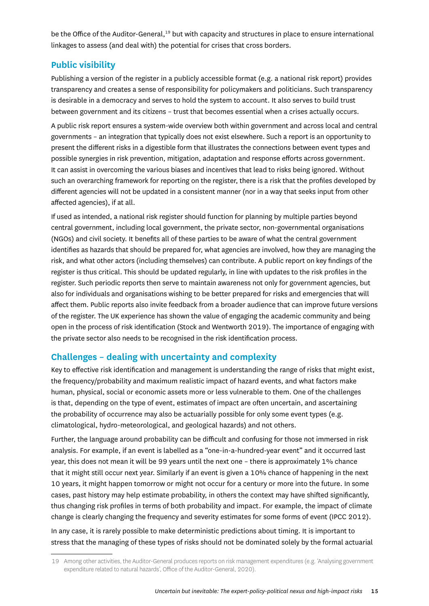<span id="page-14-0"></span>be the Office of the Auditor-General,<sup>19</sup> but with capacity and structures in place to ensure international linkages to assess (and deal with) the potential for crises that cross borders.

### **Public visibility**

Publishing a version of the register in a publicly accessible format (e.g. a national risk report) provides transparency and creates a sense of responsibility for policymakers and politicians. Such transparency is desirable in a democracy and serves to hold the system to account. It also serves to build trust between government and its citizens – trust that becomes essential when a crises actually occurs.

A public risk report ensures a system-wide overview both within government and across local and central governments – an integration that typically does not exist elsewhere. Such a report is an opportunity to present the different risks in a digestible form that illustrates the connections between event types and possible synergies in risk prevention, mitigation, adaptation and response efforts across government. It can assist in overcoming the various biases and incentives that lead to risks being ignored. Without such an overarching framework for reporting on the register, there is a risk that the profiles developed by different agencies will not be updated in a consistent manner (nor in a way that seeks input from other affected agencies), if at all.

If used as intended, a national risk register should function for planning by multiple parties beyond central government, including local government, the private sector, non-governmental organisations (NGOs) and civil society. It benefits all of these parties to be aware of what the central government identifies as hazards that should be prepared for, what agencies are involved, how they are managing the risk, and what other actors (including themselves) can contribute. A public report on key findings of the register is thus critical. This should be updated regularly, in line with updates to the risk profiles in the register. Such periodic reports then serve to maintain awareness not only for government agencies, but also for individuals and organisations wishing to be better prepared for risks and emergencies that will affect them. Public reports also invite feedback from a broader audience that can improve future versions of the register. The UK experience has shown the value of engaging the academic community and being open in the process of risk identification (Stock and Wentworth 2019). The importance of engaging with the private sector also needs to be recognised in the risk identification process.

#### **Challenges – dealing with uncertainty and complexity**

Key to effective risk identification and management is understanding the range of risks that might exist, the frequency/probability and maximum realistic impact of hazard events, and what factors make human, physical, social or economic assets more or less vulnerable to them. One of the challenges is that, depending on the type of event, estimates of impact are often uncertain, and ascertaining the probability of occurrence may also be actuarially possible for only some event types (e.g. climatological, hydro-meteorological, and geological hazards) and not others.

Further, the language around probability can be difficult and confusing for those not immersed in risk analysis. For example, if an event is labelled as a "one-in-a-hundred-year event" and it occurred last year, this does not mean it will be 99 years until the next one – there is approximately 1% chance that it might still occur next year. Similarly if an event is given a 10% chance of happening in the next 10 years, it might happen tomorrow or might not occur for a century or more into the future. In some cases, past history may help estimate probability, in others the context may have shifted significantly, thus changing risk profiles in terms of both probability and impact. For example, the impact of climate change is clearly changing the frequency and severity estimates for some forms of event (IPCC 2012).

In any case, it is rarely possible to make deterministic predictions about timing. It is important to stress that the managing of these types of risks should not be dominated solely by the formal actuarial

<sup>19</sup> Among other activities, the Auditor-General produces reports on risk management expenditures (e.g. 'Analysing government expenditure related to natural hazards', Office of the Auditor-General, 2020).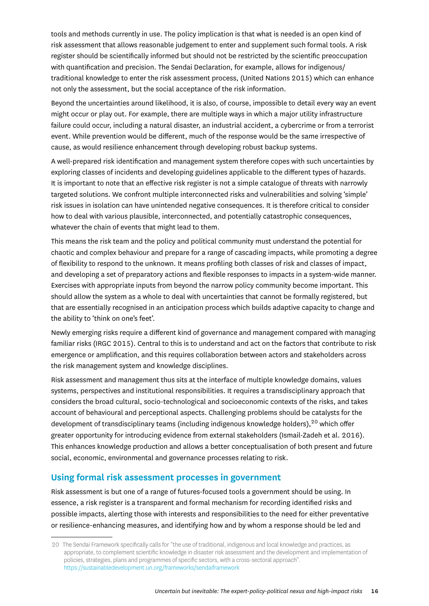<span id="page-15-0"></span>tools and methods currently in use. The policy implication is that what is needed is an open kind of risk assessment that allows reasonable judgement to enter and supplement such formal tools. A risk register should be scientifically informed but should not be restricted by the scientific preoccupation with quantification and precision. The Sendai Declaration, for example, allows for indigenous/ traditional knowledge to enter the risk assessment process, (United Nations 2015) which can enhance not only the assessment, but the social acceptance of the risk information.

Beyond the uncertainties around likelihood, it is also, of course, impossible to detail every way an event might occur or play out. For example, there are multiple ways in which a major utility infrastructure failure could occur, including a natural disaster, an industrial accident, a cybercrime or from a terrorist event. While prevention would be different, much of the response would be the same irrespective of cause, as would resilience enhancement through developing robust backup systems.

A well-prepared risk identification and management system therefore copes with such uncertainties by exploring classes of incidents and developing guidelines applicable to the different types of hazards. It is important to note that an effective risk register is not a simple catalogue of threats with narrowly targeted solutions. We confront multiple interconnected risks and vulnerabilities and solving 'simple' risk issues in isolation can have unintended negative consequences. It is therefore critical to consider how to deal with various plausible, interconnected, and potentially catastrophic consequences, whatever the chain of events that might lead to them.

This means the risk team and the policy and political community must understand the potential for chaotic and complex behaviour and prepare for a range of cascading impacts, while promoting a degree of flexibility to respond to the unknown. It means profiling both classes of risk and classes of impact, and developing a set of preparatory actions and flexible responses to impacts in a system-wide manner. Exercises with appropriate inputs from beyond the narrow policy community become important. This should allow the system as a whole to deal with uncertainties that cannot be formally registered, but that are essentially recognised in an anticipation process which builds adaptive capacity to change and the ability to 'think on one's feet'.

Newly emerging risks require a different kind of governance and management compared with managing familiar risks (IRGC 2015). Central to this is to understand and act on the factors that contribute to risk emergence or amplification, and this requires collaboration between actors and stakeholders across the risk management system and knowledge disciplines.

Risk assessment and management thus sits at the interface of multiple knowledge domains, values systems, perspectives and institutional responsibilities. It requires a transdisciplinary approach that considers the broad cultural, socio-technological and socioeconomic contexts of the risks, and takes account of behavioural and perceptional aspects. Challenging problems should be catalysts for the development of transdisciplinary teams (including indigenous knowledge holders),<sup>20</sup> which offer greater opportunity for introducing evidence from external stakeholders (Ismail-Zadeh et al. 2016). This enhances knowledge production and allows a better conceptualisation of both present and future social, economic, environmental and governance processes relating to risk.

### **Using formal risk assessment processes in government**

Risk assessment is but one of a range of futures-focused tools a government should be using. In essence, a risk register is a transparent and formal mechanism for recording identified risks and possible impacts, alerting those with interests and responsibilities to the need for either preventative or resilience-enhancing measures, and identifying how and by whom a response should be led and

<sup>20</sup> The Sendai Framework specifically calls for "the use of traditional, indigenous and local knowledge and practices, as appropriate, to complement scientific knowledge in disaster risk assessment and the development and implementation of policies, strategies, plans and programmes of specific sectors, with a cross-sectoral approach". https://sustainabledevelopment.un.org/frameworks/sendaiframework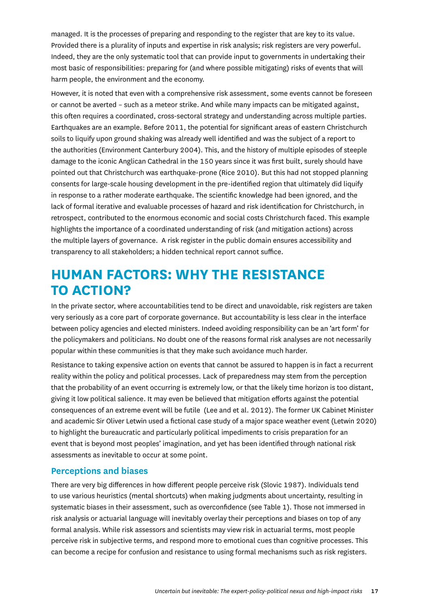<span id="page-16-0"></span>managed. It is the processes of preparing and responding to the register that are key to its value. Provided there is a plurality of inputs and expertise in risk analysis; risk registers are very powerful. Indeed, they are the only systematic tool that can provide input to governments in undertaking their most basic of responsibilities: preparing for (and where possible mitigating) risks of events that will harm people, the environment and the economy.

However, it is noted that even with a comprehensive risk assessment, some events cannot be foreseen or cannot be averted – such as a meteor strike. And while many impacts can be mitigated against, this often requires a coordinated, cross-sectoral strategy and understanding across multiple parties. Earthquakes are an example. Before 2011, the potential for significant areas of eastern Christchurch soils to liquify upon ground shaking was already well identified and was the subject of a report to the authorities (Environment Canterbury 2004). This, and the history of multiple episodes of steeple damage to the iconic Anglican Cathedral in the 150 years since it was first built, surely should have pointed out that Christchurch was earthquake-prone (Rice 2010). But this had not stopped planning consents for large-scale housing development in the pre-identified region that ultimately did liquify in response to a rather moderate earthquake. The scientific knowledge had been ignored, and the lack of formal iterative and evaluable processes of hazard and risk identification for Christchurch, in retrospect, contributed to the enormous economic and social costs Christchurch faced. This example highlights the importance of a coordinated understanding of risk (and mitigation actions) across the multiple layers of governance. A risk register in the public domain ensures accessibility and transparency to all stakeholders; a hidden technical report cannot suffice.

# **HUMAN FACTORS: WHY THE RESISTANCE TO ACTION?**

In the private sector, where accountabilities tend to be direct and unavoidable, risk registers are taken very seriously as a core part of corporate governance. But accountability is less clear in the interface between policy agencies and elected ministers. Indeed avoiding responsibility can be an 'art form' for the policymakers and politicians. No doubt one of the reasons formal risk analyses are not necessarily popular within these communities is that they make such avoidance much harder.

Resistance to taking expensive action on events that cannot be assured to happen is in fact a recurrent reality within the policy and political processes. Lack of preparedness may stem from the perception that the probability of an event occurring is extremely low, or that the likely time horizon is too distant, giving it low political salience. It may even be believed that mitigation efforts against the potential consequences of an extreme event will be futile (Lee and et al. 2012). The former UK Cabinet Minister and academic Sir Oliver Letwin used a fictional case study of a major space weather event (Letwin 2020) to highlight the bureaucratic and particularly political impediments to crisis preparation for an event that is beyond most peoples' imagination, and yet has been identified through national risk assessments as inevitable to occur at some point.

#### **Perceptions and biases**

There are very big differences in how different people perceive risk (Slovic 1987). Individuals tend to use various heuristics (mental shortcuts) when making judgments about uncertainty, resulting in systematic biases in their assessment, such as overconfidence (see Table 1). Those not immersed in risk analysis or actuarial language will inevitably overlay their perceptions and biases on top of any formal analysis. While risk assessors and scientists may view risk in actuarial terms, most people perceive risk in subjective terms, and respond more to emotional cues than cognitive processes. This can become a recipe for confusion and resistance to using formal mechanisms such as risk registers.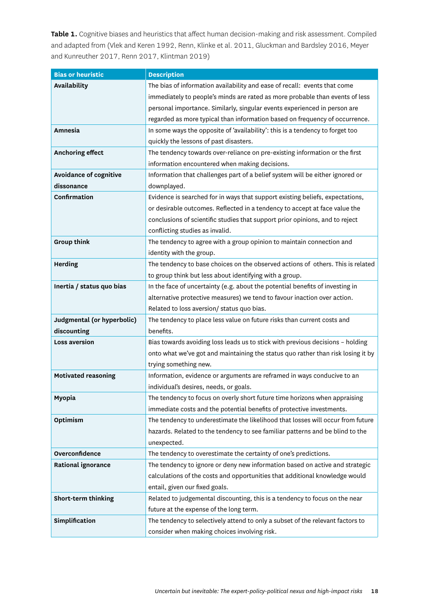**Table 1.** Cognitive biases and heuristics that affect human decision-making and risk assessment. Compiled and adapted from (Vlek and Keren 1992, Renn, Klinke et al. 2011, Gluckman and Bardsley 2016, Meyer and Kunreuther 2017, Renn 2017, Klintman 2019)

| <b>Bias or heuristic</b>   | <b>Description</b>                                                               |  |
|----------------------------|----------------------------------------------------------------------------------|--|
| Availability               | The bias of information availability and ease of recall: events that come        |  |
|                            | immediately to people's minds are rated as more probable than events of less     |  |
|                            | personal importance. Similarly, singular events experienced in person are        |  |
|                            | regarded as more typical than information based on frequency of occurrence.      |  |
| Amnesia                    | In some ways the opposite of 'availability': this is a tendency to forget too    |  |
|                            | quickly the lessons of past disasters.                                           |  |
| <b>Anchoring effect</b>    | The tendency towards over-reliance on pre-existing information or the first      |  |
|                            | information encountered when making decisions.                                   |  |
| Avoidance of cognitive     | Information that challenges part of a belief system will be either ignored or    |  |
| dissonance                 | downplayed.                                                                      |  |
| Confirmation               | Evidence is searched for in ways that support existing beliefs, expectations,    |  |
|                            | or desirable outcomes. Reflected in a tendency to accept at face value the       |  |
|                            | conclusions of scientific studies that support prior opinions, and to reject     |  |
|                            | conflicting studies as invalid.                                                  |  |
| <b>Group think</b>         | The tendency to agree with a group opinion to maintain connection and            |  |
|                            | identity with the group.                                                         |  |
| <b>Herding</b>             | The tendency to base choices on the observed actions of others. This is related  |  |
|                            | to group think but less about identifying with a group.                          |  |
| Inertia / status quo bias  | In the face of uncertainty (e.g. about the potential benefits of investing in    |  |
|                            | alternative protective measures) we tend to favour inaction over action.         |  |
|                            | Related to loss aversion/ status quo bias.                                       |  |
| Judgmental (or hyperbolic) | The tendency to place less value on future risks than current costs and          |  |
| discounting                | benefits.                                                                        |  |
| <b>Loss aversion</b>       | Bias towards avoiding loss leads us to stick with previous decisions - holding   |  |
|                            | onto what we've got and maintaining the status quo rather than risk losing it by |  |
|                            | trying something new.                                                            |  |
| <b>Motivated reasoning</b> | Information, evidence or arguments are reframed in ways conducive to an          |  |
|                            | individual's desires, needs, or goals.                                           |  |
| Myopia                     | The tendency to focus on overly short future time horizons when appraising       |  |
|                            | immediate costs and the potential benefits of protective investments.            |  |
| Optimism                   | The tendency to underestimate the likelihood that losses will occur from future  |  |
|                            | hazards. Related to the tendency to see familiar patterns and be blind to the    |  |
|                            | unexpected.                                                                      |  |
| Overconfidence             | The tendency to overestimate the certainty of one's predictions.                 |  |
| Rational ignorance         | The tendency to ignore or deny new information based on active and strategic     |  |
|                            | calculations of the costs and opportunities that additional knowledge would      |  |
|                            | entail, given our fixed goals.                                                   |  |
| Short-term thinking        | Related to judgemental discounting, this is a tendency to focus on the near      |  |
|                            | future at the expense of the long term.                                          |  |
| Simplification             | The tendency to selectively attend to only a subset of the relevant factors to   |  |
|                            | consider when making choices involving risk.                                     |  |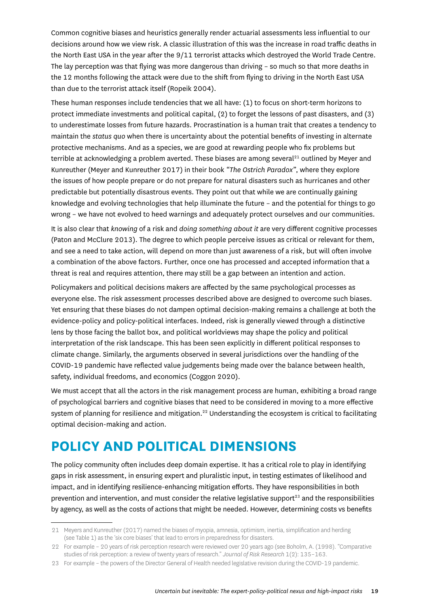<span id="page-18-0"></span>Common cognitive biases and heuristics generally render actuarial assessments less influential to our decisions around how we view risk. A classic illustration of this was the increase in road traffic deaths in the North East USA in the year after the 9/11 terrorist attacks which destroyed the World Trade Centre. The lay perception was that flying was more dangerous than driving – so much so that more deaths in the 12 months following the attack were due to the shift from flying to driving in the North East USA than due to the terrorist attack itself (Ropeik 2004).

These human responses include tendencies that we all have: (1) to focus on short-term horizons to protect immediate investments and political capital, (2) to forget the lessons of past disasters, and (3) to underestimate losses from future hazards. Procrastination is a human trait that creates a tendency to maintain the *status quo* when there is uncertainty about the potential benefits of investing in alternate protective mechanisms. And as a species, we are good at rewarding people who fix problems but terrible at acknowledging a problem averted. These biases are among several<sup>21</sup> outlined by Meyer and Kunreuther (Meyer and Kunreuther 2017) in their book *"The Ostrich Paradox"*, where they explore the issues of how people prepare or do not prepare for natural disasters such as hurricanes and other predictable but potentially disastrous events. They point out that while we are continually gaining knowledge and evolving technologies that help illuminate the future – and the potential for things to go wrong – we have not evolved to heed warnings and adequately protect ourselves and our communities.

It is also clear that *knowing* of a risk and *doing something about it* are very different cognitive processes (Paton and McClure 2013). The degree to which people perceive issues as critical or relevant for them, and see a need to take action, will depend on more than just awareness of a risk, but will often involve a combination of the above factors. Further, once one has processed and accepted information that a threat is real and requires attention, there may still be a gap between an intention and action.

Policymakers and political decisions makers are affected by the same psychological processes as everyone else. The risk assessment processes described above are designed to overcome such biases. Yet ensuring that these biases do not dampen optimal decision-making remains a challenge at both the evidence-policy and policy-political interfaces. Indeed, risk is generally viewed through a distinctive lens by those facing the ballot box, and political worldviews may shape the policy and political interpretation of the risk landscape. This has been seen explicitly in different political responses to climate change. Similarly, the arguments observed in several jurisdictions over the handling of the COVID-19 pandemic have reflected value judgements being made over the balance between health, safety, individual freedoms, and economics (Coggon 2020).

We must accept that all the actors in the risk management process are human, exhibiting a broad range of psychological barriers and cognitive biases that need to be considered in moving to a more effective system of planning for resilience and mitigation.<sup>22</sup> Understanding the ecosystem is critical to facilitating optimal decision-making and action.

# **POLICY AND POLITICAL DIMENSIONS**

The policy community often includes deep domain expertise. It has a critical role to play in identifying gaps in risk assessment, in ensuring expert and pluralistic input, in testing estimates of likelihood and impact, and in identifying resilience-enhancing mitigation efforts. They have responsibilities in both prevention and intervention, and must consider the relative legislative support<sup>23</sup> and the responsibilities by agency, as well as the costs of actions that might be needed. However, determining costs vs benefits

<sup>21</sup> Meyers and Kunreuther (2017) named the biases of myopia, amnesia, optimism, inertia, simplification and herding (see Table 1) as the 'six core biases' that lead to errors in preparedness for disasters.

<sup>22</sup> For example – 20 years of risk perception research were reviewed over 20 years ago (see Boholm, A. (1998). "Comparative studies of risk perception: a review of twenty years of research." *Journal of Risk Research* 1(2): 135–163.

<sup>23</sup> For example – the powers of the Director General of Health needed legislative revision during the COVID-19 pandemic.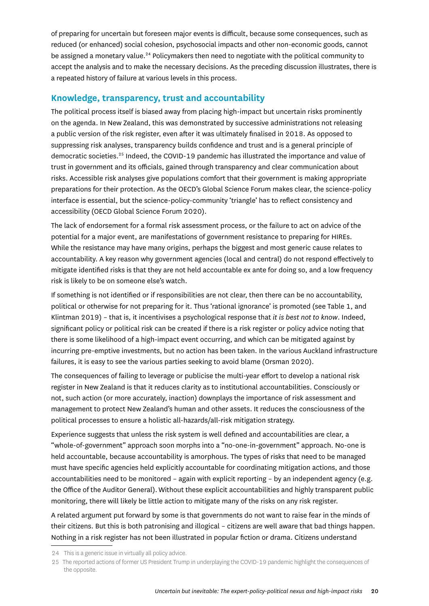<span id="page-19-0"></span>of preparing for uncertain but foreseen major events is difficult, because some consequences, such as reduced (or enhanced) social cohesion, psychosocial impacts and other non-economic goods, cannot be assigned a monetary value.<sup>24</sup> Policymakers then need to negotiate with the political community to accept the analysis and to make the necessary decisions. As the preceding discussion illustrates, there is a repeated history of failure at various levels in this process.

### **Knowledge, transparency, trust and accountability**

The political process itself is biased away from placing high-impact but uncertain risks prominently on the agenda. In New Zealand, this was demonstrated by successive administrations not releasing a public version of the risk register, even after it was ultimately finalised in 2018. As opposed to suppressing risk analyses, transparency builds confidence and trust and is a general principle of democratic societies.25 Indeed, the COVID-19 pandemic has illustrated the importance and value of trust in government and its officials, gained through transparency and clear communication about risks. Accessible risk analyses give populations comfort that their government is making appropriate preparations for their protection. As the OECD's Global Science Forum makes clear, the science-policy interface is essential, but the science-policy-community 'triangle' has to reflect consistency and accessibility (OECD Global Science Forum 2020).

The lack of endorsement for a formal risk assessment process, or the failure to act on advice of the potential for a major event, are manifestations of government resistance to preparing for HIREs. While the resistance may have many origins, perhaps the biggest and most generic cause relates to accountability. A key reason why government agencies (local and central) do not respond effectively to mitigate identified risks is that they are not held accountable ex ante for doing so, and a low frequency risk is likely to be on someone else's watch.

If something is not identified or if responsibilities are not clear, then there can be no accountability, political or otherwise for not preparing for it. Thus 'rational ignorance' is promoted (see Table 1, and Klintman 2019) – that is, it incentivises a psychological response that *it is best not to know*. Indeed, significant policy or political risk can be created if there is a risk register or policy advice noting that there is some likelihood of a high-impact event occurring, and which can be mitigated against by incurring pre-emptive investments, but no action has been taken. In the various Auckland infrastructure failures, it is easy to see the various parties seeking to avoid blame (Orsman 2020).

The consequences of failing to leverage or publicise the multi-year effort to develop a national risk register in New Zealand is that it reduces clarity as to institutional accountabilities. Consciously or not, such action (or more accurately, inaction) downplays the importance of risk assessment and management to protect New Zealand's human and other assets. It reduces the consciousness of the political processes to ensure a holistic all-hazards/all-risk mitigation strategy.

Experience suggests that unless the risk system is well defined and accountabilities are clear, a "whole-of-government" approach soon morphs into a "no-one-in-government" approach. No-one is held accountable, because accountability is amorphous. The types of risks that need to be managed must have specific agencies held explicitly accountable for coordinating mitigation actions, and those accountabilities need to be monitored – again with explicit reporting – by an independent agency (e.g. the Office of the Auditor General). Without these explicit accountabilities and highly transparent public monitoring, there will likely be little action to mitigate many of the risks on any risk register.

A related argument put forward by some is that governments do not want to raise fear in the minds of their citizens. But this is both patronising and illogical – citizens are well aware that bad things happen. Nothing in a risk register has not been illustrated in popular fiction or drama. Citizens understand

<sup>24</sup> This is a generic issue in virtually all policy advice.

<sup>25</sup> The reported actions of former US President Trump in underplaying the COVID-19 pandemic highlight the consequences of the opposite.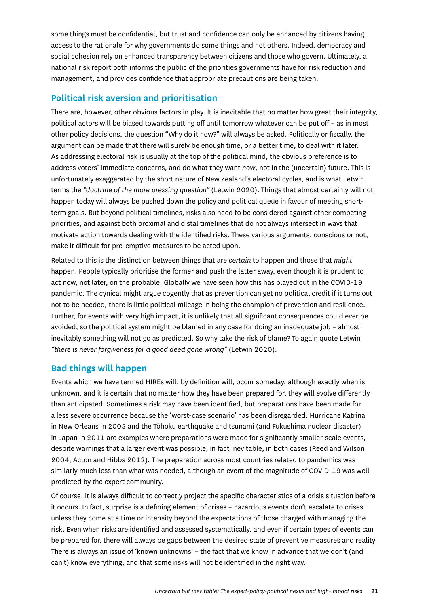<span id="page-20-0"></span>some things must be confidential, but trust and confidence can only be enhanced by citizens having access to the rationale for why governments do some things and not others. Indeed, democracy and social cohesion rely on enhanced transparency between citizens and those who govern. Ultimately, a national risk report both informs the public of the priorities governments have for risk reduction and management, and provides confidence that appropriate precautions are being taken.

### **Political risk aversion and prioritisation**

There are, however, other obvious factors in play. It is inevitable that no matter how great their integrity, political actors will be biased towards putting off until tomorrow whatever can be put off – as in most other policy decisions, the question "Why do it now?" will always be asked. Politically or fiscally, the argument can be made that there will surely be enough time, or a better time, to deal with it later. As addressing electoral risk is usually at the top of the political mind, the obvious preference is to address voters' immediate concerns, and do what they want *now*, not in the (uncertain) future. This is unfortunately exaggerated by the short nature of New Zealand's electoral cycles, and is what Letwin terms the *"doctrine of the more pressing question"* (Letwin 2020). Things that almost certainly will not happen today will always be pushed down the policy and political queue in favour of meeting shortterm goals. But beyond political timelines, risks also need to be considered against other competing priorities, and against both proximal and distal timelines that do not always intersect in ways that motivate action towards dealing with the identified risks. These various arguments, conscious or not, make it difficult for pre-emptive measures to be acted upon.

Related to this is the distinction between things that are *certain* to happen and those that *might* happen. People typically prioritise the former and push the latter away, even though it is prudent to act now, not later, on the probable. Globally we have seen how this has played out in the COVID-19 pandemic. The cynical might argue cogently that as prevention can get no political credit if it turns out not to be needed, there is little political mileage in being the champion of prevention and resilience. Further, for events with very high impact, it is unlikely that all significant consequences could ever be avoided, so the political system might be blamed in any case for doing an inadequate job – almost inevitably something will not go as predicted. So why take the risk of blame? To again quote Letwin *"there is never forgiveness for a good deed gone wrong"* (Letwin 2020).

### **Bad things will happen**

Events which we have termed HIREs will, by definition will, occur someday, although exactly when is unknown, and it is certain that no matter how they have been prepared for, they will evolve differently than anticipated. Sometimes a risk may have been identified, but preparations have been made for a less severe occurrence because the 'worst-case scenario' has been disregarded. Hurricane Katrina in New Orleans in 2005 and the Tōhoku earthquake and tsunami (and Fukushima nuclear disaster) in Japan in 2011 are examples where preparations were made for significantly smaller-scale events, despite warnings that a larger event was possible, in fact inevitable, in both cases (Reed and Wilson 2004, Acton and Hibbs 2012). The preparation across most countries related to pandemics was similarly much less than what was needed, although an event of the magnitude of COVID-19 was wellpredicted by the expert community.

Of course, it is always difficult to correctly project the specific characteristics of a crisis situation before it occurs. In fact, surprise is a defining element of crises – hazardous events don't escalate to crises unless they come at a time or intensity beyond the expectations of those charged with managing the risk. Even when risks are identified and assessed systematically, and even if certain types of events can be prepared for, there will always be gaps between the desired state of preventive measures and reality. There is always an issue of 'known unknowns' – the fact that we know in advance that we don't (and can't) know everything, and that some risks will not be identified in the right way.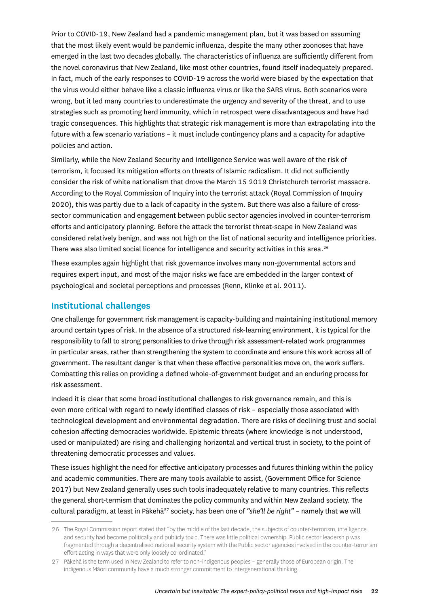<span id="page-21-0"></span>Prior to COVID-19, New Zealand had a pandemic management plan, but it was based on assuming that the most likely event would be pandemic influenza, despite the many other zoonoses that have emerged in the last two decades globally. The characteristics of influenza are sufficiently different from the novel coronavirus that New Zealand, like most other countries, found itself inadequately prepared. In fact, much of the early responses to COVID-19 across the world were biased by the expectation that the virus would either behave like a classic influenza virus or like the SARS virus. Both scenarios were wrong, but it led many countries to underestimate the urgency and severity of the threat, and to use strategies such as promoting herd immunity, which in retrospect were disadvantageous and have had tragic consequences. This highlights that strategic risk management is more than extrapolating into the future with a few scenario variations – it must include contingency plans and a capacity for adaptive policies and action.

Similarly, while the New Zealand Security and Intelligence Service was well aware of the risk of terrorism, it focused its mitigation efforts on threats of Islamic radicalism. It did not sufficiently consider the risk of white nationalism that drove the March 15 2019 Christchurch terrorist massacre. According to the Royal Commission of Inquiry into the terrorist attack (Royal Commission of Inquiry 2020), this was partly due to a lack of capacity in the system. But there was also a failure of crosssector communication and engagement between public sector agencies involved in counter-terrorism efforts and anticipatory planning. Before the attack the terrorist threat-scape in New Zealand was considered relatively benign, and was not high on the list of national security and intelligence priorities. There was also limited social licence for intelligence and security activities in this area.<sup>26</sup>

These examples again highlight that risk governance involves many non-governmental actors and requires expert input, and most of the major risks we face are embedded in the larger context of psychological and societal perceptions and processes (Renn, Klinke et al. 2011).

#### **Institutional challenges**

One challenge for government risk management is capacity-building and maintaining institutional memory around certain types of risk. In the absence of a structured risk-learning environment, it is typical for the responsibility to fall to strong personalities to drive through risk assessment-related work programmes in particular areas, rather than strengthening the system to coordinate and ensure this work across all of government. The resultant danger is that when these effective personalities move on, the work suffers. Combatting this relies on providing a defined whole-of-government budget and an enduring process for risk assessment.

Indeed it is clear that some broad institutional challenges to risk governance remain, and this is even more critical with regard to newly identified classes of risk – especially those associated with technological development and environmental degradation. There are risks of declining trust and social cohesion affecting democracies worldwide. Epistemic threats (where knowledge is not understood, used or manipulated) are rising and challenging horizontal and vertical trust in society, to the point of threatening democratic processes and values.

These issues highlight the need for effective anticipatory processes and futures thinking within the policy and academic communities. There are many tools available to assist, (Government Office for Science 2017) but New Zealand generally uses such tools inadequately relative to many countries. This reflects the general short-termism that dominates the policy community and within New Zealand society. The cultural paradigm, at least in Pākehā<sup>27</sup> society, has been one of "she'll be right" - namely that we will

<sup>26</sup> The Royal Commission report stated that "by the middle of the last decade, the subjects of counter-terrorism, intelligence and security had become politically and publicly toxic. There was little political ownership. Public sector leadership was fragmented through a decentralised national security system with the Public sector agencies involved in the counter-terrorism effort acting in ways that were only loosely co-ordinated."

<sup>27</sup> Pākehā is the term used in New Zealand to refer to non-indigenous peoples – generally those of European origin. The indigenous Māori community have a much stronger commitment to intergenerational thinking.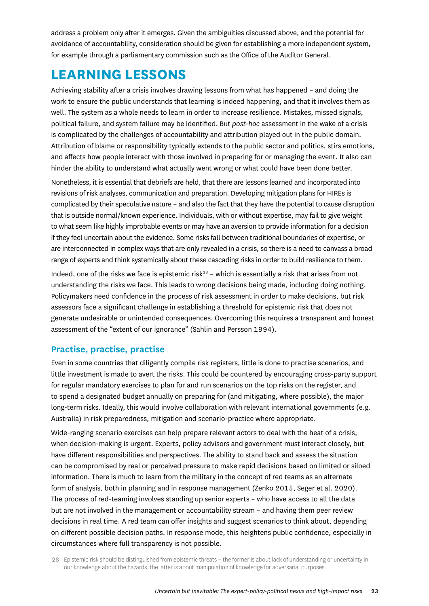<span id="page-22-0"></span>address a problem only after it emerges. Given the ambiguities discussed above, and the potential for avoidance of accountability, consideration should be given for establishing a more independent system, for example through a parliamentary commission such as the Office of the Auditor General.

# **LEARNING LESSONS**

Achieving stability after a crisis involves drawing lessons from what has happened – and doing the work to ensure the public understands that learning is indeed happening, and that it involves them as well. The system as a whole needs to learn in order to increase resilience. Mistakes, missed signals, political failure, and system failure may be identified. But *post-hoc* assessment in the wake of a crisis is complicated by the challenges of accountability and attribution played out in the public domain. Attribution of blame or responsibility typically extends to the public sector and politics, stirs emotions, and affects how people interact with those involved in preparing for or managing the event. It also can hinder the ability to understand what actually went wrong or what could have been done better.

Nonetheless, it is essential that debriefs are held, that there are lessons learned and incorporated into revisions of risk analyses, communication and preparation. Developing mitigation plans for HIREs is complicated by their speculative nature – and also the fact that they have the potential to cause disruption that is outside normal/known experience. Individuals, with or without expertise, may fail to give weight to what seem like highly improbable events or may have an aversion to provide information for a decision if they feel uncertain about the evidence. Some risks fall between traditional boundaries of expertise, or are interconnected in complex ways that are only revealed in a crisis, so there is a need to canvass a broad range of experts and think systemically about these cascading risks in order to build resilience to them.

Indeed, one of the risks we face is epistemic risk<sup>28</sup> – which is essentially a risk that arises from not understanding the risks we face. This leads to wrong decisions being made, including doing nothing. Policymakers need confidence in the process of risk assessment in order to make decisions, but risk assessors face a significant challenge in establishing a threshold for epistemic risk that does not generate undesirable or unintended consequences. Overcoming this requires a transparent and honest assessment of the "extent of our ignorance" (Sahlin and Persson 1994).

### **Practise, practise, practise**

Even in some countries that diligently compile risk registers, little is done to practise scenarios, and little investment is made to avert the risks. This could be countered by encouraging cross-party support for regular mandatory exercises to plan for and run scenarios on the top risks on the register, and to spend a designated budget annually on preparing for (and mitigating, where possible), the major long-term risks. Ideally, this would involve collaboration with relevant international governments (e.g. Australia) in risk preparedness, mitigation and scenario-practice where appropriate.

Wide-ranging scenario exercises can help prepare relevant actors to deal with the heat of a crisis, when decision-making is urgent. Experts, policy advisors and government must interact closely, but have different responsibilities and perspectives. The ability to stand back and assess the situation can be compromised by real or perceived pressure to make rapid decisions based on limited or siloed information. There is much to learn from the military in the concept of red teams as an alternate form of analysis, both in planning and in response management (Zenko 2015, Seger et al. 2020). The process of red-teaming involves standing up senior experts – who have access to all the data but are not involved in the management or accountability stream – and having them peer review decisions in real time. A red team can offer insights and suggest scenarios to think about, depending on different possible decision paths. In response mode, this heightens public confidence, especially in circumstances where full transparency is not possible.

<sup>28</sup> Epistemic risk should be distinguished from epistemic threats – the former is about lack of understanding or uncertainty in our knowledge about the hazards, the latter is about manipulation of knowledge for adversarial purposes.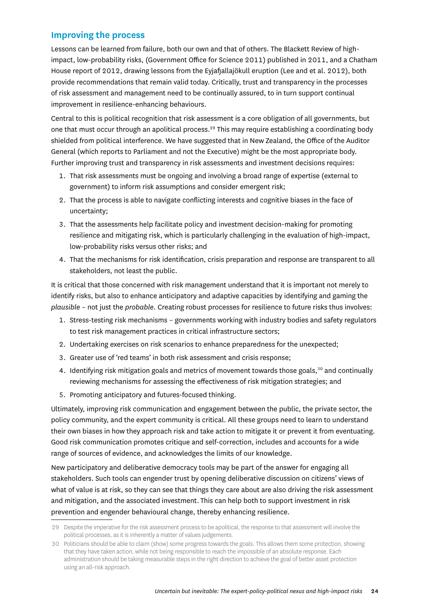### <span id="page-23-0"></span>**Improving the process**

Lessons can be learned from failure, both our own and that of others. The Blackett Review of highimpact, low-probability risks, (Government Office for Science 2011) published in 2011, and a Chatham House report of 2012, drawing lessons from the Eyjafjallajökull eruption (Lee and et al. 2012), both provide recommendations that remain valid today. Critically, trust and transparency in the processes of risk assessment and management need to be continually assured, to in turn support continual improvement in resilience-enhancing behaviours.

Central to this is political recognition that risk assessment is a core obligation of all governments, but one that must occur through an apolitical process.<sup>29</sup> This may require establishing a coordinating body shielded from political interference. We have suggested that in New Zealand, the Office of the Auditor General (which reports to Parliament and not the Executive) might be the most appropriate body. Further improving trust and transparency in risk assessments and investment decisions requires:

- 1. That risk assessments must be ongoing and involving a broad range of expertise (external to government) to inform risk assumptions and consider emergent risk;
- 2. That the process is able to navigate conflicting interests and cognitive biases in the face of uncertainty;
- 3. That the assessments help facilitate policy and investment decision-making for promoting resilience and mitigating risk, which is particularly challenging in the evaluation of high-impact, low-probability risks versus other risks; and
- 4. That the mechanisms for risk identification, crisis preparation and response are transparent to all stakeholders, not least the public.

It is critical that those concerned with risk management understand that it is important not merely to identify risks, but also to enhance anticipatory and adaptive capacities by identifying and gaming the *plausible* – not just the *probable*. Creating robust processes for resilience to future risks thus involves:

- 1. Stress-testing risk mechanisms governments working with industry bodies and safety regulators to test risk management practices in critical infrastructure sectors;
- 2. Undertaking exercises on risk scenarios to enhance preparedness for the unexpected;
- 3. Greater use of 'red teams' in both risk assessment and crisis response;
- 4. Identifying risk mitigation goals and metrics of movement towards those goals,<sup>30</sup> and continually reviewing mechanisms for assessing the effectiveness of risk mitigation strategies; and
- 5. Promoting anticipatory and futures-focused thinking.

Ultimately, improving risk communication and engagement between the public, the private sector, the policy community, and the expert community is critical. All these groups need to learn to understand their own biases in how they approach risk and take action to mitigate it or prevent it from eventuating. Good risk communication promotes critique and self-correction, includes and accounts for a wide range of sources of evidence, and acknowledges the limits of our knowledge.

New participatory and deliberative democracy tools may be part of the answer for engaging all stakeholders. Such tools can engender trust by opening deliberative discussion on citizens' views of what of value is at risk, so they can see that things they care about are also driving the risk assessment and mitigation, and the associated investment. This can help both to support investment in risk prevention and engender behavioural change, thereby enhancing resilience.

<sup>29</sup> Despite the imperative for the risk assessment process to be apolitical, the response to that assessment will involve the political processes, as it is inherently a matter of values judgements.

<sup>30</sup> Politicians should be able to claim (show) some progress towards the goals. This allows them some protection, showing that they have taken action, while not being responsible to reach the impossible of an absolute response. Each administration should be taking measurable steps in the right direction to achieve the goal of better asset protection using an all-risk approach.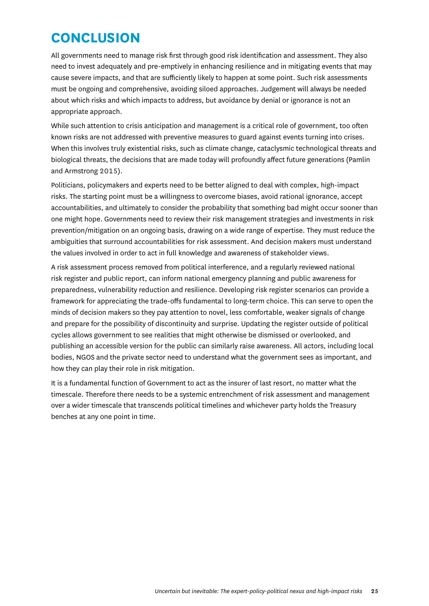# <span id="page-24-0"></span>**CONCLUSION**

All governments need to manage risk first through good risk identification and assessment. They also need to invest adequately and pre-emptively in enhancing resilience and in mitigating events that may cause severe impacts, and that are sufficiently likely to happen at some point. Such risk assessments must be ongoing and comprehensive, avoiding siloed approaches. Judgement will always be needed about which risks and which impacts to address, but avoidance by denial or ignorance is not an appropriate approach.

While such attention to crisis anticipation and management is a critical role of government, too often known risks are not addressed with preventive measures to guard against events turning into crises. When this involves truly existential risks, such as climate change, cataclysmic technological threats and biological threats, the decisions that are made today will profoundly affect future generations (Pamlin and Armstrong 2015).

Politicians, policymakers and experts need to be better aligned to deal with complex, high-impact risks. The starting point must be a willingness to overcome biases, avoid rational ignorance, accept accountabilities, and ultimately to consider the probability that something bad might occur sooner than one might hope. Governments need to review their risk management strategies and investments in risk prevention/mitigation on an ongoing basis, drawing on a wide range of expertise. They must reduce the ambiguities that surround accountabilities for risk assessment. And decision makers must understand the values involved in order to act in full knowledge and awareness of stakeholder views.

A risk assessment process removed from political interference, and a regularly reviewed national risk register and public report, can inform national emergency planning and public awareness for preparedness, vulnerability reduction and resilience. Developing risk register scenarios can provide a framework for appreciating the trade-offs fundamental to long-term choice. This can serve to open the minds of decision makers so they pay attention to novel, less comfortable, weaker signals of change and prepare for the possibility of discontinuity and surprise. Updating the register outside of political cycles allows government to see realities that might otherwise be dismissed or overlooked, and publishing an accessible version for the public can similarly raise awareness. All actors, including local bodies, NGOS and the private sector need to understand what the government sees as important, and how they can play their role in risk mitigation.

It is a fundamental function of Government to act as the insurer of last resort, no matter what the timescale. Therefore there needs to be a systemic entrenchment of risk assessment and management over a wider timescale that transcends political timelines and whichever party holds the Treasury benches at any one point in time.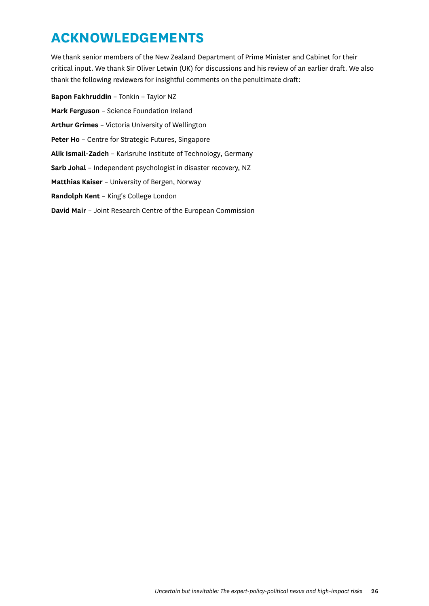# <span id="page-25-0"></span>**ACKNOWLEDGEMENTS**

We thank senior members of the New Zealand Department of Prime Minister and Cabinet for their critical input. We thank Sir Oliver Letwin (UK) for discussions and his review of an earlier draft. We also thank the following reviewers for insightful comments on the penultimate draft:

**Bapon Fakhruddin** – Tonkin + Taylor NZ **Mark Ferguson** – Science Foundation Ireland **Arthur Grimes** – Victoria University of Wellington **Peter Ho** – Centre for Strategic Futures, Singapore **Alik Ismail-Zadeh** – Karlsruhe Institute of Technology, Germany **Sarb Johal** – Independent psychologist in disaster recovery, NZ **Matthias Kaiser** – University of Bergen, Norway **Randolph Kent** – King's College London **David Mair** – Joint Research Centre of the European Commission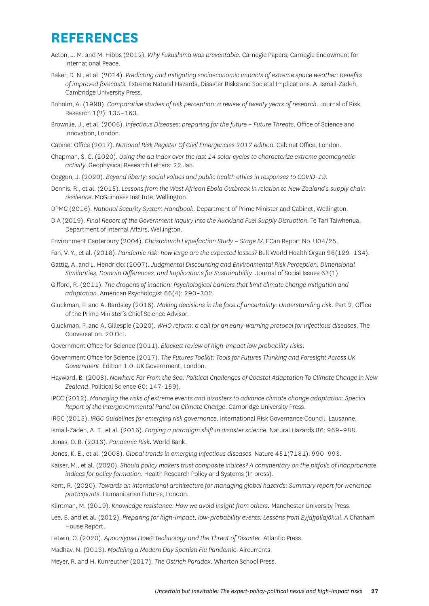# <span id="page-26-0"></span>**REFERENCES**

- Acton, J. M. and M. Hibbs (2012). *Why Fukushima was preventable*. Carnegie Papers, Carnegie Endowment for International Peace.
- Baker, D. N., et al. (2014). *Predicting and mitigating socioeconomic impacts of extreme space weather: benefits of improved forecasts.* Extreme Natural Hazards, Disaster Risks and Societal Implications. A. Ismail-Zadeh, Cambridge University Press.
- Boholm, A. (1998). *Comparative studies of risk perception: a review of twenty years of research*. Journal of Risk Research 1(2): 135–163.
- Brownlie, J., et al. (2006). *Infectious Diseases: preparing for the future Future Threats*. Office of Science and Innovation, London.
- Cabinet Office (2017). *National Risk Register Of Civil Emergencies 2017 edition*. Cabinet Office, London.
- Chapman, S. C. (2020). *Using the aa Index over the last 14 solar cycles to characterize extreme geomagnetic activity.* Geophysical Research Letters: 22 Jan.
- Coggon, J. (2020). *Beyond liberty: social values and public health ethics in responses to COVID-19.*
- Dennis, R., et al. (2015). *Lessons from the West African Ebola Outbreak in relation to New Zealand's supply chain resilience*. McGuinness Institute, Wellington.
- DPMC (2016). *National Security System Handbook*. Department of Prime Minister and Cabinet, Wellington.
- DIA (2019). *Final Report of the Government Inquiry into the Auckland Fuel Supply Disruption*. Te Tari Taiwhenua, Department of Internal Affairs, Wellington.
- Environment Canterbury (2004). *Christchurch Liquefaction Study Stage IV*. ECan Report No. U04/25.
- Fan, V. Y., et al. (2018). *Pandemic risk: how large are the expected losses?* Bull World Health Organ 96(129–134).
- Gattig, A. and L. Hendrickx (2007). *Judgmental Discounting and Environmental Risk Perception: Dimensional Similarities, Domain Differences, and Implications for Sustainability*. Journal of Social Issues 63(1).
- Gifford, R. (2011). *The dragons of inaction: Psychological barriers that limit climate change mitigation and adaptation*. American Psychologist 66(4): 290–302.
- Gluckman, P. and A. Bardsley (2016). *Making decisions in the face of uncertainty: Understanding risk.* Part 2, Office of the Prime Minister's Chief Science Advisor.
- Gluckman, P. and A. Gillespie (2020). *WHO reform: a call for an early-warning protocol for infectious diseases*. The Conversation. 20 Oct.
- Government Office for Science (2011). *Blackett review of high-impact low probability risks*.
- Government Office for Science (2017). *The Futures Toolkit: Tools for Futures Thinking and Foresight Across UK Government*. Edition 1.0. UK Government, London.
- Hayward, B. (2008). *Nowhere Far From the Sea: Political Challenges of Coastal Adaptation To Climate Change in New Zealand*. Political Science 60: 147-159).
- IPCC (2012). *Managing the risks of extreme events and disasters to advance climate change adaptation: Special Report of the Intergovernmental Panel on Climate Change*. Cambridge University Press.
- IRGC (2015). *IRGC Guidelines for emerging risk governance*. International Risk Governance Council, Lausanne.
- Ismail-Zadeh, A. T., et al. (2016). *Forging a paradigm shift in disaster science*. Natural Hazards 86: 969–988.
- Jonas, O. B. (2013). *Pandemic Risk.* World Bank.
- Jones, K. E., et al. (2008). *Global trends in emerging infectious diseases*. Nature 451(7181): 990–993.
- Kaiser, M., et al. (2020). *Should policy makers trust composite indices? A commentary on the pitfalls of inappropriate indices for policy formation*. Health Research Policy and Systems (In press).
- Kent, R. (2020). *Towards an international architecture for managing global hazards: Summary report for workshop participants*. Humanitarian Futures, London.
- Klintman, M. (2019). *Knowledge resistance: How we avoid insight from others.* Manchester University Press.
- Lee, B. and et al. (2012). *Preparing for high-impact, low-probability events: Lessons from Eyjafjallajökull*. A Chatham House Report.
- Letwin, O. (2020). *Apocalypse How? Technology and the Threat of Disaster*. Atlantic Press.
- Madhav, N. (2013). *Modeling a Modern Day Spanish Flu Pandemic*. Aircurrents.
- Meyer, R. and H. Kunreuther (2017). *The Ostrich Paradox.* Wharton School Press.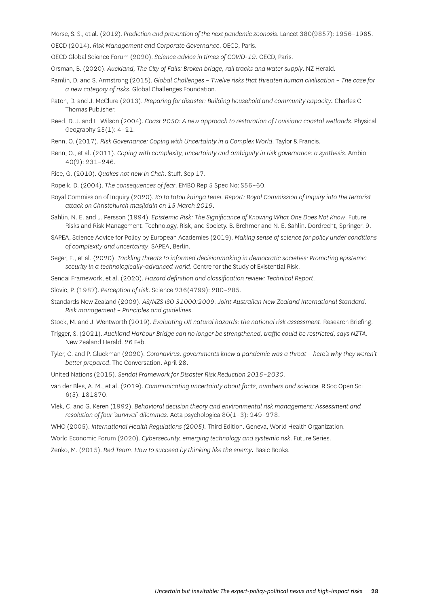Morse, S. S., et al. (2012). *Prediction and prevention of the next pandemic zoonosis*. Lancet 380(9857): 1956–1965.

OECD (2014). *Risk Management and Corporate Governance*. OECD, Paris.

OECD Global Science Forum (2020). *Science advice in times of COVID-19.* OECD, Paris.

Orsman, B. (2020). *Auckland, The City of Fails: Broken bridge, rail tracks and water supply*. NZ Herald.

- Pamlin, D. and S. Armstrong (2015). *Global Challenges Twelve risks that threaten human civilisation The case for a new category of risks*. Global Challenges Foundation.
- Paton, D. and J. McClure (2013). *Preparing for disaster: Building household and community capacity.* Charles C Thomas Publisher.
- Reed, D. J. and L. Wilson (2004). *Coast 2050: A new approach to restoration of Louisiana coastal wetlands*. Physical Geography 25(1): 4–21.
- Renn, O. (2017). *Risk Governance: Coping with Uncertainty in a Complex World*. Taylor & Francis.
- Renn, O., et al. (2011). *Coping with complexity, uncertainty and ambiguity in risk governance: a synthesis*. Ambio 40(2): 231–246.
- Rice, G. (2010). *Quakes not new in Chch*. Stuff. Sep 17.
- Ropeik, D. (2004). *The consequences of fear*. EMBO Rep 5 Spec No: S56–60.
- Royal Commission of Inquiry (2020). *Ko tō tātou kāinga tēnei. Report: Royal Commission of Inquiry into the terrorist attack on Christchurch masjidain on 15 March 2019.*
- Sahlin, N. E. and J. Persson (1994). *Epistemic Risk: The Significance of Knowing What One Does Not Know*. Future Risks and Risk Management. Technology, Risk, and Society. B. Brehmer and N. E. Sahlin. Dordrecht, Springer. 9.
- SAPEA, Science Advice for Policy by European Academies (2019). *Making sense of science for policy under conditions of complexity and uncertainty*. SAPEA, Berlin.
- Seger, E., et al. (2020). *Tackling threats to informed decisionmaking in democratic societies: Promoting epistemic security in a technologically-advanced world*. Centre for the Study of Existential Risk.
- Sendai Framework, et al. (2020). *Hazard definition and classification review: Technical Report*.
- Slovic, P. (1987). *Perception of risk*. Science 236(4799): 280–285.
- Standards New Zealand (2009). *AS/NZS ISO 31000:2009. Joint Australian New Zealand International Standard. Risk management – Principles and guidelines.*

Stock, M. and J. Wentworth (2019). *Evaluating UK natural hazards: the national risk assessment*. Research Briefing.

- Trigger, S. (2021). *Auckland Harbour Bridge can no longer be strengthened, traffic could be restricted, says NZTA*. New Zealand Herald. 26 Feb.
- Tyler, C. and P. Gluckman (2020). *Coronavirus: governments knew a pandemic was a threat here's why they weren't better prepared*. The Conversation. April 28.
- United Nations (2015). *Sendai Framework for Disaster Risk Reduction 2015–2030.*
- van der Bles, A. M., et al. (2019). *Communicating uncertainty about facts, numbers and science.* R Soc Open Sci 6(5): 181870.
- Vlek, C. and G. Keren (1992). *Behavioral decision theory and environmental risk management: Assessment and resolution of four 'survival' dilemmas.* Acta psychologica 80(1–3): 249–278.
- WHO (2005). *International Health Regulations (2005).* Third Edition. Geneva, World Health Organization.

World Economic Forum (2020). *Cybersecurity, emerging technology and systemic risk*. Future Series.

Zenko, M. (2015). *Red Team. How to succeed by thinking like the enemy.* Basic Books.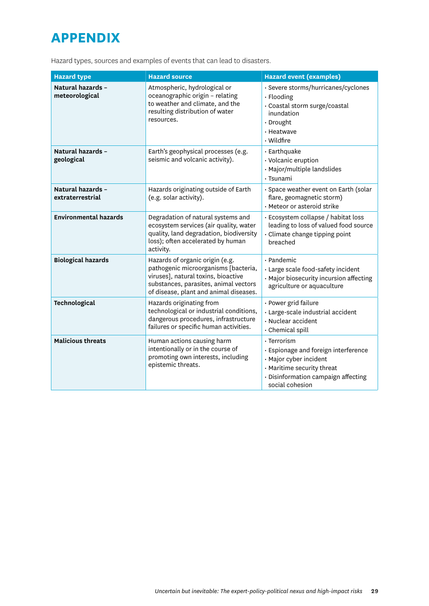# <span id="page-28-0"></span>**APPENDIX**

Hazard types, sources and examples of events that can lead to disasters.

| <b>Hazard type</b>                    | <b>Hazard source</b>                                                                                                                                                                              | <b>Hazard event (examples)</b>                                                                                                                                              |
|---------------------------------------|---------------------------------------------------------------------------------------------------------------------------------------------------------------------------------------------------|-----------------------------------------------------------------------------------------------------------------------------------------------------------------------------|
| Natural hazards -<br>meteorological   | Atmospheric, hydrological or<br>oceanographic origin - relating<br>to weather and climate, and the<br>resulting distribution of water<br>resources.                                               | · Severe storms/hurricanes/cyclones<br>· Flooding<br>· Coastal storm surge/coastal<br>inundation<br>· Drought<br>· Heatwave<br>· Wildfire                                   |
| Natural hazards -<br>geological       | Earth's geophysical processes (e.g.<br>seismic and volcanic activity).                                                                                                                            | · Earthquake<br>· Volcanic eruption<br>· Major/multiple landslides<br>· Tsunami                                                                                             |
| Natural hazards -<br>extraterrestrial | Hazards originating outside of Earth<br>(e.g. solar activity).                                                                                                                                    | · Space weather event on Earth (solar<br>flare, geomagnetic storm)<br>· Meteor or asteroid strike                                                                           |
| <b>Environmental hazards</b>          | Degradation of natural systems and<br>ecosystem services (air quality, water<br>quality, land degradation, biodiversity<br>loss); often accelerated by human<br>activity.                         | · Ecosystem collapse / habitat loss<br>leading to loss of valued food source<br>· Climate change tipping point<br>breached                                                  |
| <b>Biological hazards</b>             | Hazards of organic origin (e.g.<br>pathogenic microorganisms [bacteria,<br>viruses], natural toxins, bioactive<br>substances, parasites, animal vectors<br>of disease, plant and animal diseases. | · Pandemic<br>· Large scale food-safety incident<br>· Major biosecurity incursion affecting<br>agriculture or aquaculture                                                   |
| Technological                         | Hazards originating from<br>technological or industrial conditions,<br>dangerous procedures, infrastructure<br>failures or specific human activities.                                             | · Power grid failure<br>· Large-scale industrial accident<br>· Nuclear accident<br>· Chemical spill                                                                         |
| <b>Malicious threats</b>              | Human actions causing harm<br>intentionally or in the course of<br>promoting own interests, including<br>epistemic threats.                                                                       | $\cdot$ Terrorism<br>· Espionage and foreign interference<br>· Major cyber incident<br>· Maritime security threat<br>· Disinformation campaign affecting<br>social cohesion |